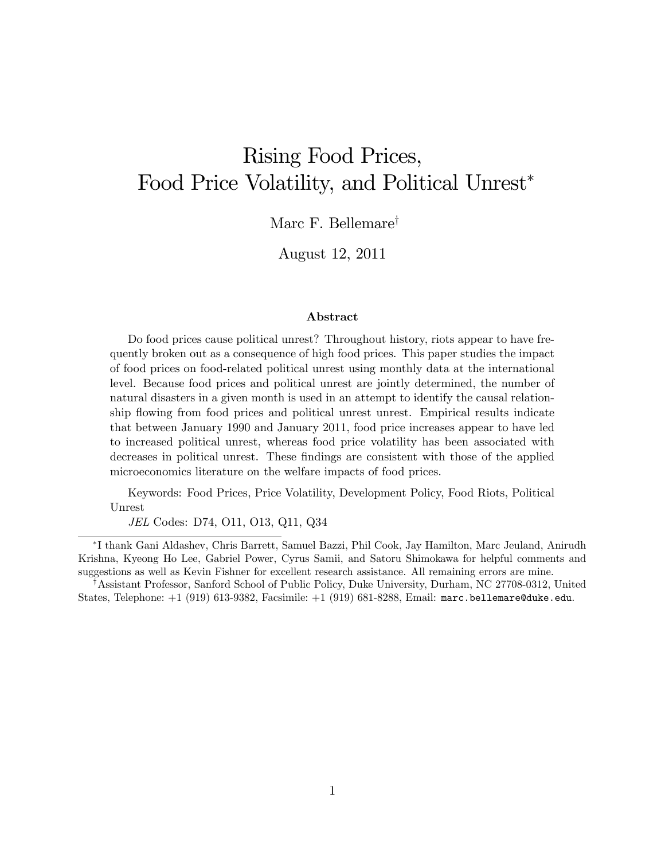# Rising Food Prices, Food Price Volatility, and Political Unrest

Marc F. Bellemare<sup>†</sup>

August 12, 2011

#### Abstract

Do food prices cause political unrest? Throughout history, riots appear to have frequently broken out as a consequence of high food prices. This paper studies the impact of food prices on food-related political unrest using monthly data at the international level. Because food prices and political unrest are jointly determined, the number of natural disasters in a given month is used in an attempt to identify the causal relationship flowing from food prices and political unrest unrest. Empirical results indicate that between January 1990 and January 2011, food price increases appear to have led to increased political unrest, whereas food price volatility has been associated with decreases in political unrest. These findings are consistent with those of the applied microeconomics literature on the welfare impacts of food prices.

Keywords: Food Prices, Price Volatility, Development Policy, Food Riots, Political Unrest

JEL Codes: D74, O11, O13, Q11, Q34

 I thank Gani Aldashev, Chris Barrett, Samuel Bazzi, Phil Cook, Jay Hamilton, Marc Jeuland, Anirudh Krishna, Kyeong Ho Lee, Gabriel Power, Cyrus Samii, and Satoru Shimokawa for helpful comments and suggestions as well as Kevin Fishner for excellent research assistance. All remaining errors are mine.

<sup>†</sup> Assistant Professor, Sanford School of Public Policy, Duke University, Durham, NC 27708-0312, United States, Telephone: +1 (919) 613-9382, Facsimile: +1 (919) 681-8288, Email: marc.bellemare@duke.edu.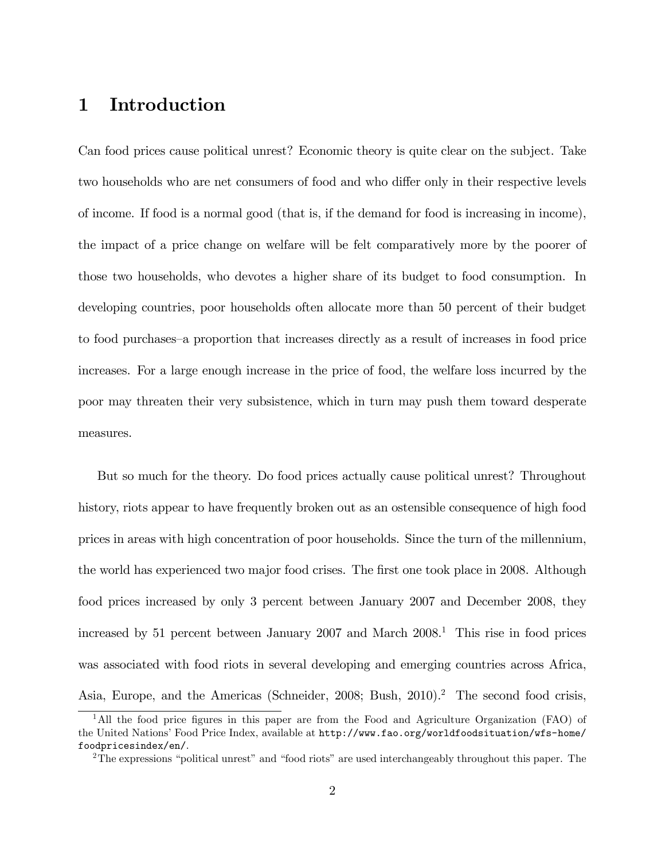# 1 Introduction

Can food prices cause political unrest? Economic theory is quite clear on the subject. Take two households who are net consumers of food and who differ only in their respective levels of income. If food is a normal good (that is, if the demand for food is increasing in income), the impact of a price change on welfare will be felt comparatively more by the poorer of those two households, who devotes a higher share of its budget to food consumption. In developing countries, poor households often allocate more than 50 percent of their budget to food purchases–a proportion that increases directly as a result of increases in food price increases. For a large enough increase in the price of food, the welfare loss incurred by the poor may threaten their very subsistence, which in turn may push them toward desperate measures.

But so much for the theory. Do food prices actually cause political unrest? Throughout history, riots appear to have frequently broken out as an ostensible consequence of high food prices in areas with high concentration of poor households. Since the turn of the millennium, the world has experienced two major food crises. The first one took place in 2008. Although food prices increased by only 3 percent between January 2007 and December 2008, they increased by 51 percent between January 2007 and March  $2008<sup>1</sup>$ . This rise in food prices was associated with food riots in several developing and emerging countries across Africa, Asia, Europe, and the Americas (Schneider, 2008; Bush, 2010).<sup>2</sup> The second food crisis,

<sup>&</sup>lt;sup>1</sup>All the food price figures in this paper are from the Food and Agriculture Organization (FAO) of the United Nations' Food Price Index, available at http://www.fao.org/worldfoodsituation/wfs-home/ foodpricesindex/en/.

 $2$ The expressions "political unrest" and "food riots" are used interchangeably throughout this paper. The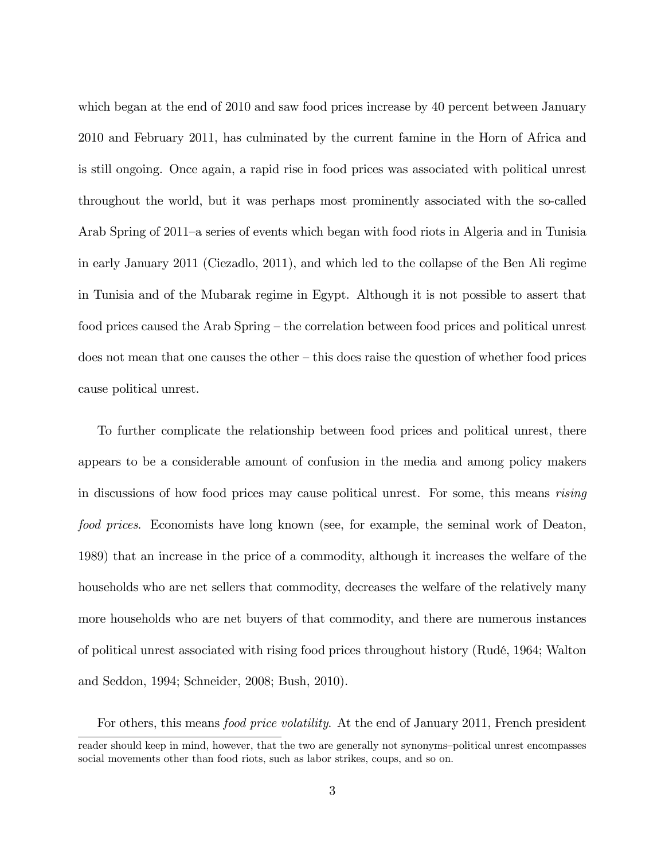which began at the end of 2010 and saw food prices increase by 40 percent between January 2010 and February 2011, has culminated by the current famine in the Horn of Africa and is still ongoing. Once again, a rapid rise in food prices was associated with political unrest throughout the world, but it was perhaps most prominently associated with the so-called Arab Spring of 2011–a series of events which began with food riots in Algeria and in Tunisia in early January 2011 (Ciezadlo, 2011), and which led to the collapse of the Ben Ali regime in Tunisia and of the Mubarak regime in Egypt. Although it is not possible to assert that food prices caused the Arab Spring – the correlation between food prices and political unrest does not mean that one causes the other  $-$  this does raise the question of whether food prices cause political unrest.

To further complicate the relationship between food prices and political unrest, there appears to be a considerable amount of confusion in the media and among policy makers in discussions of how food prices may cause political unrest. For some, this means *rising* food prices. Economists have long known (see, for example, the seminal work of Deaton, 1989) that an increase in the price of a commodity, although it increases the welfare of the households who are net sellers that commodity, decreases the welfare of the relatively many more households who are net buyers of that commodity, and there are numerous instances of political unrest associated with rising food prices throughout history (RudÈ, 1964; Walton and Seddon, 1994; Schneider, 2008; Bush, 2010).

For others, this means *food price volatility*. At the end of January 2011, French president reader should keep in mind, however, that the two are generally not synonyms-political unrest encompasses social movements other than food riots, such as labor strikes, coups, and so on.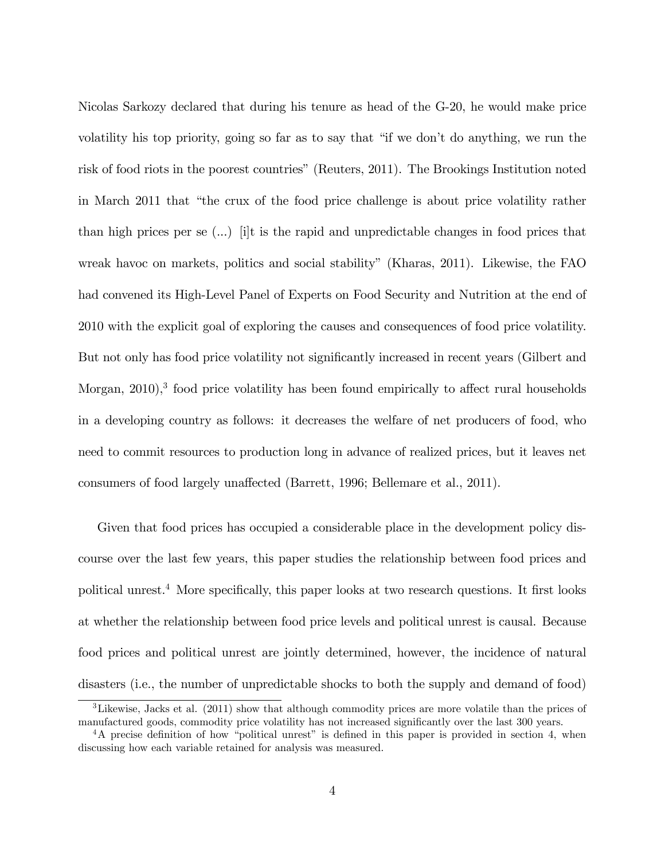Nicolas Sarkozy declared that during his tenure as head of the G-20, he would make price volatility his top priority, going so far as to say that "if we don't do anything, we run the risk of food riots in the poorest countries" (Reuters, 2011). The Brookings Institution noted in March 2011 that "the crux of the food price challenge is about price volatility rather than high prices per se (...) [i]t is the rapid and unpredictable changes in food prices that wreak havoc on markets, politics and social stability" (Kharas, 2011). Likewise, the FAO had convened its High-Level Panel of Experts on Food Security and Nutrition at the end of 2010 with the explicit goal of exploring the causes and consequences of food price volatility. But not only has food price volatility not significantly increased in recent years (Gilbert and Morgan,  $2010$ <sup>3</sup>, food price volatility has been found empirically to affect rural households in a developing country as follows: it decreases the welfare of net producers of food, who need to commit resources to production long in advance of realized prices, but it leaves net consumers of food largely unaffected (Barrett, 1996; Bellemare et al., 2011).

Given that food prices has occupied a considerable place in the development policy discourse over the last few years, this paper studies the relationship between food prices and political unrest.<sup>4</sup> More specifically, this paper looks at two research questions. It first looks at whether the relationship between food price levels and political unrest is causal. Because food prices and political unrest are jointly determined, however, the incidence of natural disasters (i.e., the number of unpredictable shocks to both the supply and demand of food)

<sup>&</sup>lt;sup>3</sup>Likewise, Jacks et al. (2011) show that although commodity prices are more volatile than the prices of manufactured goods, commodity price volatility has not increased significantly over the last 300 years.

<sup>&</sup>lt;sup>4</sup>A precise definition of how "political unrest" is defined in this paper is provided in section 4, when discussing how each variable retained for analysis was measured.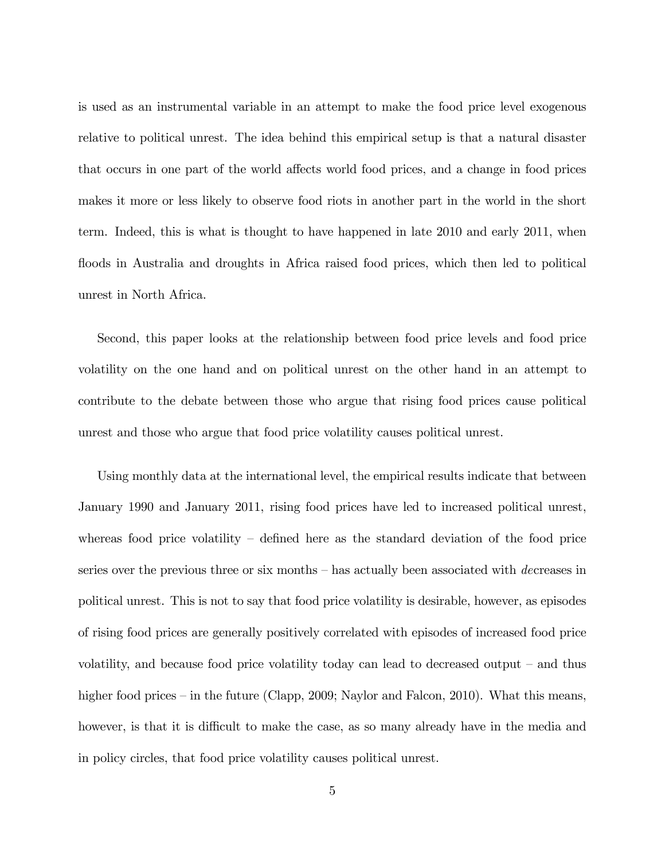is used as an instrumental variable in an attempt to make the food price level exogenous relative to political unrest. The idea behind this empirical setup is that a natural disaster that occurs in one part of the world affects world food prices, and a change in food prices makes it more or less likely to observe food riots in another part in the world in the short term. Indeed, this is what is thought to have happened in late 2010 and early 2011, when floods in Australia and droughts in Africa raised food prices, which then led to political unrest in North Africa.

Second, this paper looks at the relationship between food price levels and food price volatility on the one hand and on political unrest on the other hand in an attempt to contribute to the debate between those who argue that rising food prices cause political unrest and those who argue that food price volatility causes political unrest.

Using monthly data at the international level, the empirical results indicate that between January 1990 and January 2011, rising food prices have led to increased political unrest, whereas food price volatility  $\overline{\phantom{a}}$  defined here as the standard deviation of the food price series over the previous three or six months  $-$  has actually been associated with decreases in political unrest. This is not to say that food price volatility is desirable, however, as episodes of rising food prices are generally positively correlated with episodes of increased food price volatility, and because food price volatility today can lead to decreased output  $-$  and thus higher food prices – in the future (Clapp, 2009; Naylor and Falcon, 2010). What this means, however, is that it is difficult to make the case, as so many already have in the media and in policy circles, that food price volatility causes political unrest.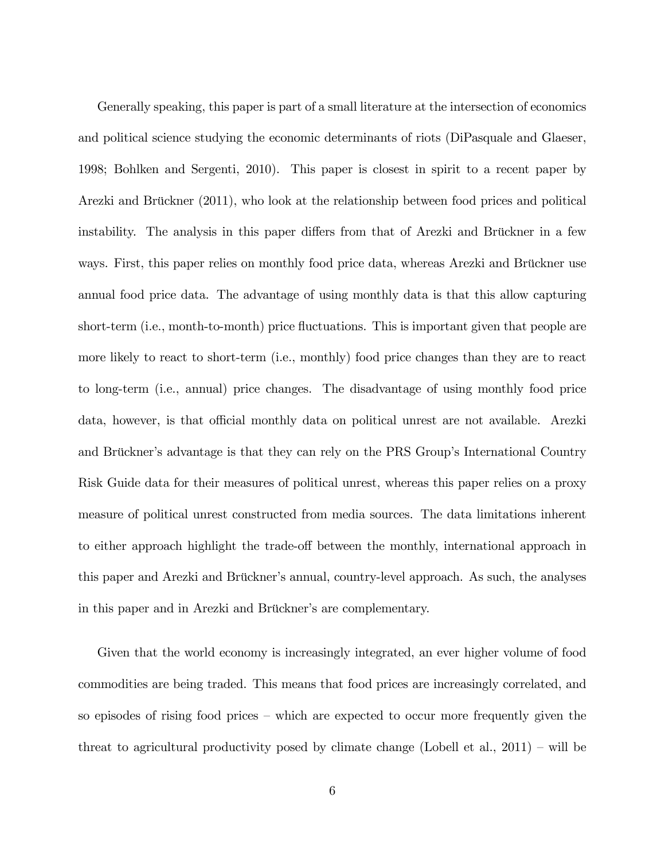Generally speaking, this paper is part of a small literature at the intersection of economics and political science studying the economic determinants of riots (DiPasquale and Glaeser, 1998; Bohlken and Sergenti, 2010). This paper is closest in spirit to a recent paper by Arezki and Brückner (2011), who look at the relationship between food prices and political instability. The analysis in this paper differs from that of Arezki and Brückner in a few ways. First, this paper relies on monthly food price data, whereas Arezki and Brückner use annual food price data. The advantage of using monthly data is that this allow capturing short-term (i.e., month-to-month) price fluctuations. This is important given that people are more likely to react to short-term (i.e., monthly) food price changes than they are to react to long-term (i.e., annual) price changes. The disadvantage of using monthly food price data, however, is that official monthly data on political unrest are not available. Arezki and Brückner's advantage is that they can rely on the PRS Group's International Country Risk Guide data for their measures of political unrest, whereas this paper relies on a proxy measure of political unrest constructed from media sources. The data limitations inherent to either approach highlight the trade-off between the monthly, international approach in this paper and Arezki and Brückner's annual, country-level approach. As such, the analyses in this paper and in Arezki and Brückner's are complementary.

Given that the world economy is increasingly integrated, an ever higher volume of food commodities are being traded. This means that food prices are increasingly correlated, and so episodes of rising food prices  $-$  which are expected to occur more frequently given the threat to agricultural productivity posed by climate change (Lobell et al.,  $2011$ ) – will be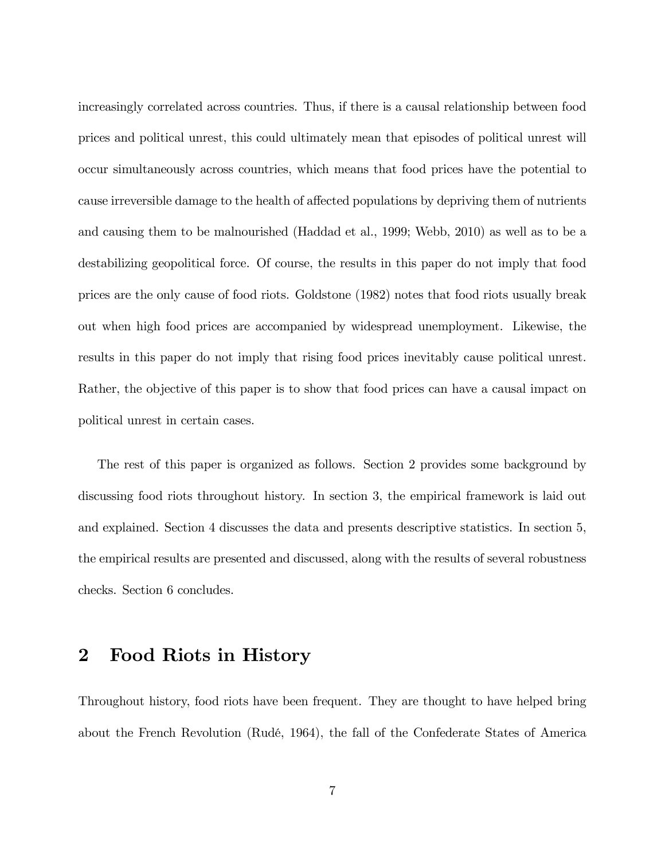increasingly correlated across countries. Thus, if there is a causal relationship between food prices and political unrest, this could ultimately mean that episodes of political unrest will occur simultaneously across countries, which means that food prices have the potential to cause irreversible damage to the health of affected populations by depriving them of nutrients and causing them to be malnourished (Haddad et al., 1999; Webb, 2010) as well as to be a destabilizing geopolitical force. Of course, the results in this paper do not imply that food prices are the only cause of food riots. Goldstone (1982) notes that food riots usually break out when high food prices are accompanied by widespread unemployment. Likewise, the results in this paper do not imply that rising food prices inevitably cause political unrest. Rather, the objective of this paper is to show that food prices can have a causal impact on political unrest in certain cases.

The rest of this paper is organized as follows. Section 2 provides some background by discussing food riots throughout history. In section 3, the empirical framework is laid out and explained. Section 4 discusses the data and presents descriptive statistics. In section 5, the empirical results are presented and discussed, along with the results of several robustness checks. Section 6 concludes.

#### 2 Food Riots in History

Throughout history, food riots have been frequent. They are thought to have helped bring about the French Revolution (Rudé, 1964), the fall of the Confederate States of America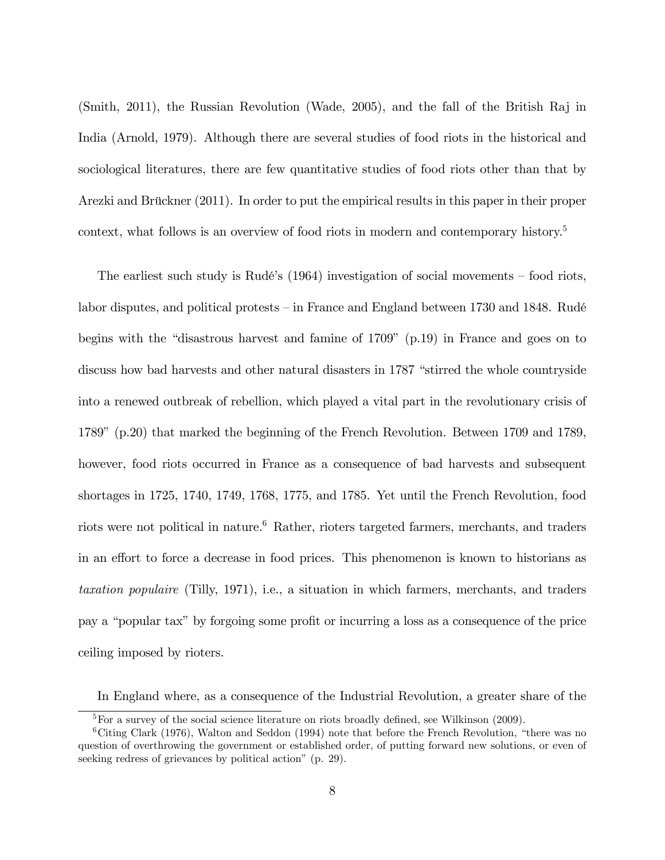(Smith, 2011), the Russian Revolution (Wade, 2005), and the fall of the British Raj in India (Arnold, 1979). Although there are several studies of food riots in the historical and sociological literatures, there are few quantitative studies of food riots other than that by Arezki and Brückner (2011). In order to put the empirical results in this paper in their proper context, what follows is an overview of food riots in modern and contemporary history.<sup>5</sup>

The earliest such study is Rudé's  $(1964)$  investigation of social movements – food riots, labor disputes, and political protests  $\overline{\phantom{a}}$  in France and England between 1730 and 1848. Rudé begins with the "disastrous harvest and famine of  $1709$ " (p.19) in France and goes on to discuss how bad harvests and other natural disasters in 1787 "stirred the whole countryside into a renewed outbreak of rebellion, which played a vital part in the revolutionary crisis of 1789î (p.20) that marked the beginning of the French Revolution. Between 1709 and 1789, however, food riots occurred in France as a consequence of bad harvests and subsequent shortages in 1725, 1740, 1749, 1768, 1775, and 1785. Yet until the French Revolution, food riots were not political in nature.<sup>6</sup> Rather, rioters targeted farmers, merchants, and traders in an effort to force a decrease in food prices. This phenomenon is known to historians as taxation populaire (Tilly, 1971), i.e., a situation in which farmers, merchants, and traders pay a "popular tax" by forgoing some profit or incurring a loss as a consequence of the price ceiling imposed by rioters.

In England where, as a consequence of the Industrial Revolution, a greater share of the

 ${}^{5}$  For a survey of the social science literature on riots broadly defined, see Wilkinson (2009).

 $6C$ iting Clark (1976), Walton and Seddon (1994) note that before the French Revolution, "there was no question of overthrowing the government or established order, of putting forward new solutions, or even of seeking redress of grievances by political action" (p. 29).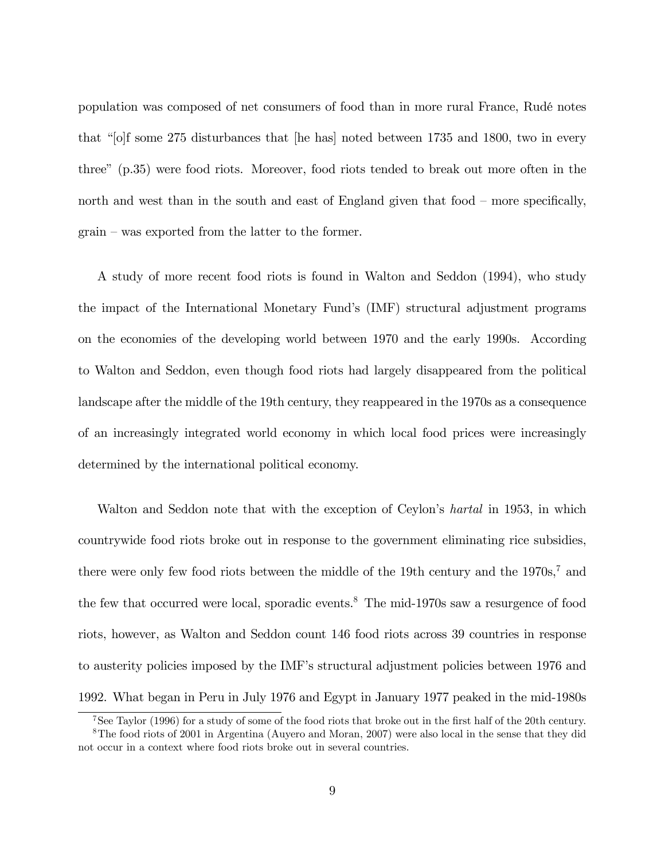population was composed of net consumers of food than in more rural France, RudÈ notes that " $[o]$ f some 275 disturbances that  $[he$  has noted between 1735 and 1800, two in every threeî (p.35) were food riots. Moreover, food riots tended to break out more often in the north and west than in the south and east of England given that food  $-$  more specifically,  $grain - was exported from the latter to the former.$ 

A study of more recent food riots is found in Walton and Seddon (1994), who study the impact of the International Monetary Fundís (IMF) structural adjustment programs on the economies of the developing world between 1970 and the early 1990s. According to Walton and Seddon, even though food riots had largely disappeared from the political landscape after the middle of the 19th century, they reappeared in the 1970s as a consequence of an increasingly integrated world economy in which local food prices were increasingly determined by the international political economy.

Walton and Seddon note that with the exception of Ceylon's *hartal* in 1953, in which countrywide food riots broke out in response to the government eliminating rice subsidies, there were only few food riots between the middle of the 19th century and the  $1970s$ ,<sup>7</sup> and the few that occurred were local, sporadic events.<sup>8</sup> The mid-1970s saw a resurgence of food riots, however, as Walton and Seddon count 146 food riots across 39 countries in response to austerity policies imposed by the IMF's structural adjustment policies between 1976 and 1992. What began in Peru in July 1976 and Egypt in January 1977 peaked in the mid-1980s

<sup>&</sup>lt;sup>7</sup>See Taylor (1996) for a study of some of the food riots that broke out in the first half of the 20th century.

<sup>8</sup>The food riots of 2001 in Argentina (Auyero and Moran, 2007) were also local in the sense that they did not occur in a context where food riots broke out in several countries.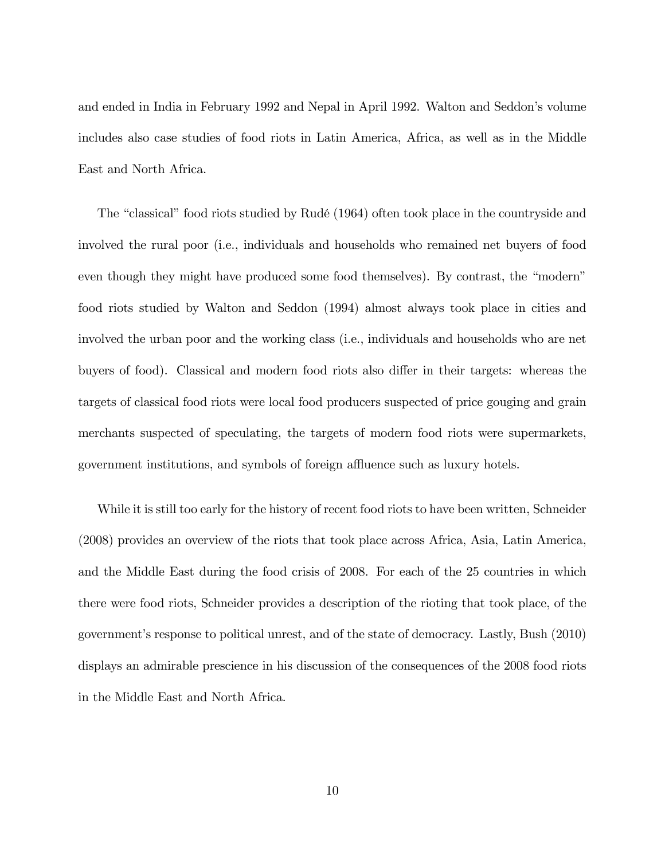and ended in India in February 1992 and Nepal in April 1992. Walton and Seddon's volume includes also case studies of food riots in Latin America, Africa, as well as in the Middle East and North Africa.

The "classical" food riots studied by Rudé (1964) often took place in the countryside and involved the rural poor (i.e., individuals and households who remained net buyers of food even though they might have produced some food themselves). By contrast, the "modern" food riots studied by Walton and Seddon (1994) almost always took place in cities and involved the urban poor and the working class (i.e., individuals and households who are net buyers of food). Classical and modern food riots also differ in their targets: whereas the targets of classical food riots were local food producers suspected of price gouging and grain merchants suspected of speculating, the targets of modern food riots were supermarkets, government institutions, and symbols of foreign affluence such as luxury hotels.

While it is still too early for the history of recent food riots to have been written, Schneider (2008) provides an overview of the riots that took place across Africa, Asia, Latin America, and the Middle East during the food crisis of 2008. For each of the 25 countries in which there were food riots, Schneider provides a description of the rioting that took place, of the governmentís response to political unrest, and of the state of democracy. Lastly, Bush (2010) displays an admirable prescience in his discussion of the consequences of the 2008 food riots in the Middle East and North Africa.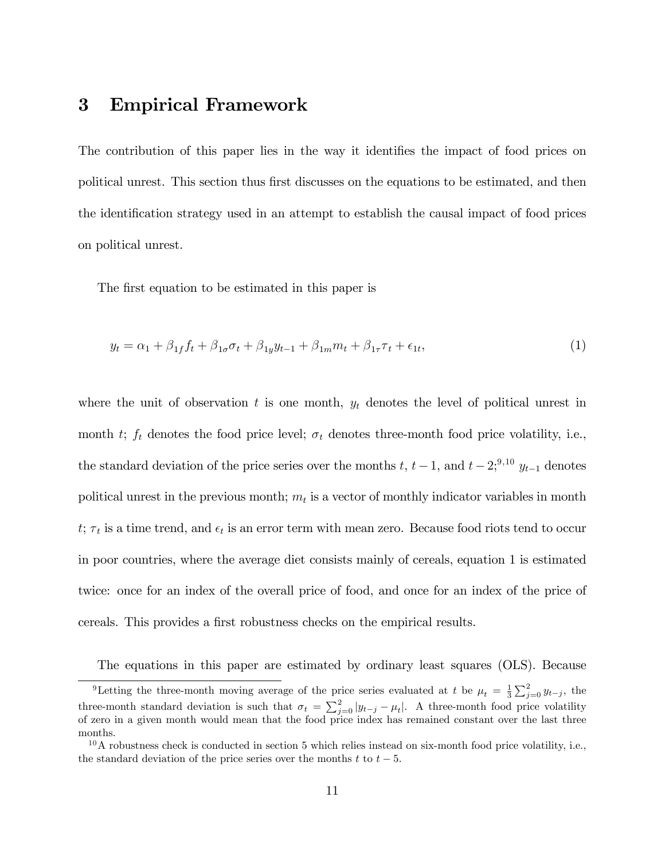## 3 Empirical Framework

The contribution of this paper lies in the way it identifies the impact of food prices on political unrest. This section thus first discusses on the equations to be estimated, and then the identification strategy used in an attempt to establish the causal impact of food prices on political unrest.

The first equation to be estimated in this paper is

$$
y_t = \alpha_1 + \beta_{1f} f_t + \beta_{1\sigma} \sigma_t + \beta_{1y} y_{t-1} + \beta_{1m} m_t + \beta_{1\tau} \tau_t + \epsilon_{1t},
$$
\n(1)

where the unit of observation t is one month,  $y_t$  denotes the level of political unrest in month t;  $f_t$  denotes the food price level;  $\sigma_t$  denotes three-month food price volatility, i.e., the standard deviation of the price series over the months  $t, t-1$ , and  $t-2; ^{9,10} y_{t-1}$  denotes political unrest in the previous month;  $m_t$  is a vector of monthly indicator variables in month  $t; \tau_t$  is a time trend, and  $\epsilon_t$  is an error term with mean zero. Because food riots tend to occur in poor countries, where the average diet consists mainly of cereals, equation 1 is estimated twice: once for an index of the overall price of food, and once for an index of the price of cereals. This provides a first robustness checks on the empirical results.

The equations in this paper are estimated by ordinary least squares (OLS). Because

<sup>&</sup>lt;sup>9</sup>Letting the three-month moving average of the price series evaluated at t be  $\mu_t = \frac{1}{3} \sum_{j=0}^{2} y_{t-j}$ , the three-month standard deviation is such that  $\sigma_t = \sum_{j=0}^{2} |y_{t-j} - \mu_t|$ . A three-month food price volatility of zero in a given month would mean that the food price index has remained constant over the last three months.

 $10$ A robustness check is conducted in section 5 which relies instead on six-month food price volatility, i.e., the standard deviation of the price series over the months  $t$  to  $t - 5$ .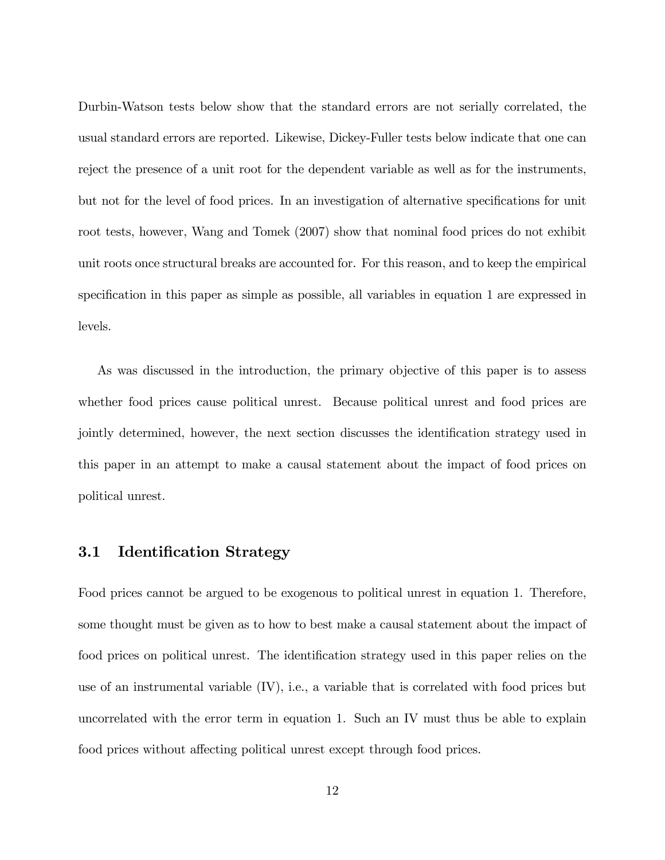Durbin-Watson tests below show that the standard errors are not serially correlated, the usual standard errors are reported. Likewise, Dickey-Fuller tests below indicate that one can reject the presence of a unit root for the dependent variable as well as for the instruments, but not for the level of food prices. In an investigation of alternative specifications for unit root tests, however, Wang and Tomek (2007) show that nominal food prices do not exhibit unit roots once structural breaks are accounted for. For this reason, and to keep the empirical specification in this paper as simple as possible, all variables in equation 1 are expressed in levels.

As was discussed in the introduction, the primary objective of this paper is to assess whether food prices cause political unrest. Because political unrest and food prices are jointly determined, however, the next section discusses the identification strategy used in this paper in an attempt to make a causal statement about the impact of food prices on political unrest.

#### 3.1 Identification Strategy

Food prices cannot be argued to be exogenous to political unrest in equation 1. Therefore, some thought must be given as to how to best make a causal statement about the impact of food prices on political unrest. The identification strategy used in this paper relies on the use of an instrumental variable  $(IV)$ , i.e., a variable that is correlated with food prices but uncorrelated with the error term in equation 1. Such an IV must thus be able to explain food prices without affecting political unrest except through food prices.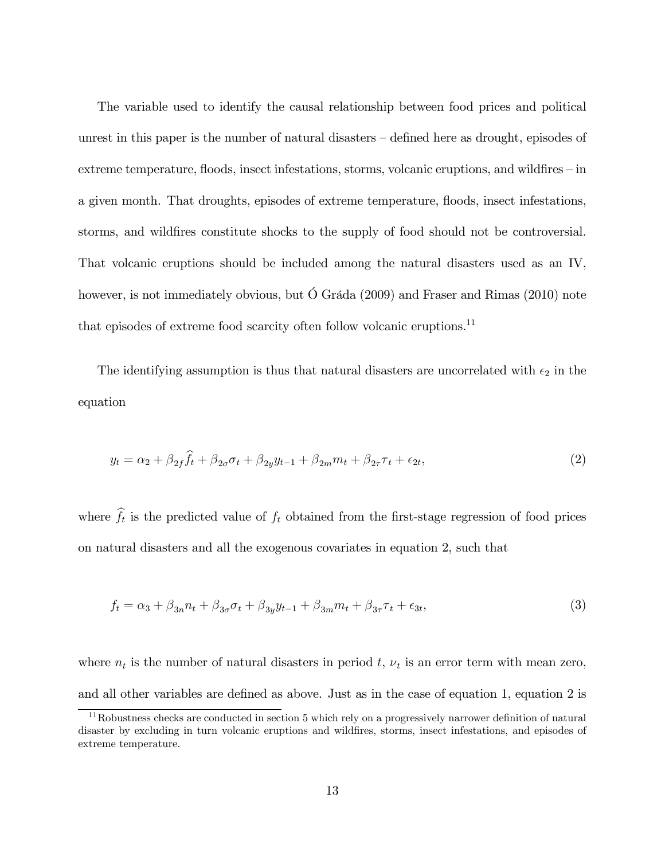The variable used to identify the causal relationship between food prices and political unrest in this paper is the number of natural disasters  $-\text{defined}$  here as drought, episodes of extreme temperature, floods, insect infestations, storms, volcanic eruptions, and wildfires  $-\text{in}$ a given month. That droughts, episodes of extreme temperature, floods, insect infestations, storms, and wildfires constitute shocks to the supply of food should not be controversial. That volcanic eruptions should be included among the natural disasters used as an IV, however, is not immediately obvious, but  $\acute{O}$  Gráda (2009) and Fraser and Rimas (2010) note that episodes of extreme food scarcity often follow volcanic eruptions.  $^{\rm 11}$ 

The identifying assumption is thus that natural disasters are uncorrelated with  $\epsilon_2$  in the equation

$$
y_t = \alpha_2 + \beta_{2f} \hat{f}_t + \beta_{2\sigma} \sigma_t + \beta_{2y} y_{t-1} + \beta_{2m} m_t + \beta_{2\tau} \tau_t + \epsilon_{2t},
$$
\n(2)

where  $f_t$  is the predicted value of  $f_t$  obtained from the first-stage regression of food prices on natural disasters and all the exogenous covariates in equation 2, such that

$$
f_t = \alpha_3 + \beta_{3n} n_t + \beta_{3n} \sigma_t + \beta_{3y} y_{t-1} + \beta_{3m} m_t + \beta_{3n} \tau_t + \epsilon_{3t},
$$
\n(3)

where  $n_t$  is the number of natural disasters in period t,  $\nu_t$  is an error term with mean zero, and all other variables are defined as above. Just as in the case of equation 1, equation 2 is

 $11$ Robustness checks are conducted in section 5 which rely on a progressively narrower definition of natural disaster by excluding in turn volcanic eruptions and wildfires, storms, insect infestations, and episodes of extreme temperature.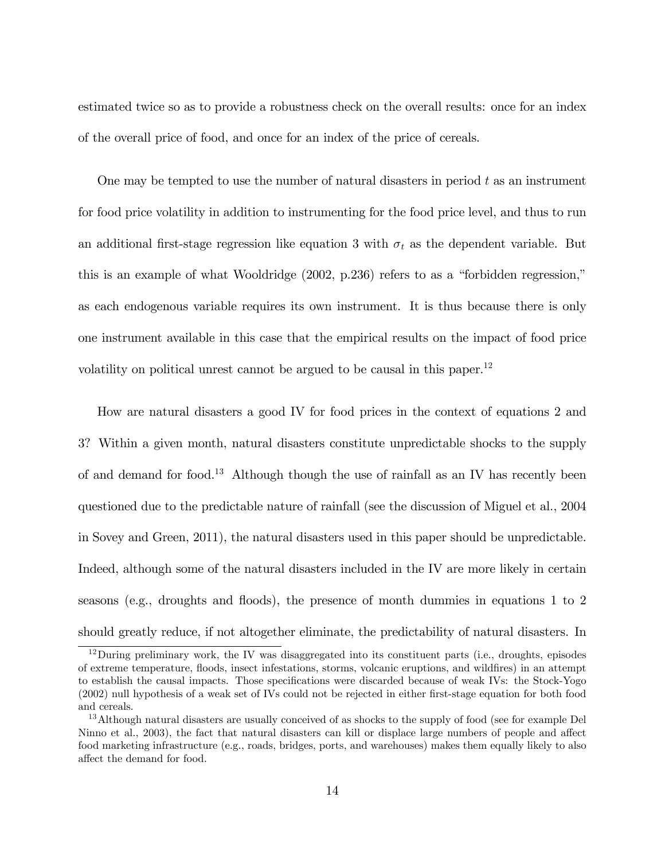estimated twice so as to provide a robustness check on the overall results: once for an index of the overall price of food, and once for an index of the price of cereals.

One may be tempted to use the number of natural disasters in period  $t$  as an instrument for food price volatility in addition to instrumenting for the food price level, and thus to run an additional first-stage regression like equation 3 with  $\sigma_t$  as the dependent variable. But this is an example of what Wooldridge  $(2002, p.236)$  refers to as a "forbidden regression," as each endogenous variable requires its own instrument. It is thus because there is only one instrument available in this case that the empirical results on the impact of food price volatility on political unrest cannot be argued to be causal in this paper.<sup>12</sup>

How are natural disasters a good IV for food prices in the context of equations 2 and 3? Within a given month, natural disasters constitute unpredictable shocks to the supply of and demand for food.<sup>13</sup> Although though the use of rainfall as an IV has recently been questioned due to the predictable nature of rainfall (see the discussion of Miguel et al., 2004 in Sovey and Green, 2011), the natural disasters used in this paper should be unpredictable. Indeed, although some of the natural disasters included in the IV are more likely in certain seasons (e.g., droughts and floods), the presence of month dummies in equations  $1$  to  $2$ should greatly reduce, if not altogether eliminate, the predictability of natural disasters. In

<sup>12</sup>During preliminary work, the IV was disaggregated into its constituent parts (i.e., droughts, episodes of extreme temperature, áoods, insect infestations, storms, volcanic eruptions, and wildÖres) in an attempt to establish the causal impacts. Those specifications were discarded because of weak IVs: the Stock-Yogo (2002) null hypothesis of a weak set of IVs could not be rejected in either Örst-stage equation for both food and cereals.

<sup>&</sup>lt;sup>13</sup>Although natural disasters are usually conceived of as shocks to the supply of food (see for example Del Ninno et al., 2003), the fact that natural disasters can kill or displace large numbers of people and affect food marketing infrastructure (e.g., roads, bridges, ports, and warehouses) makes them equally likely to also affect the demand for food.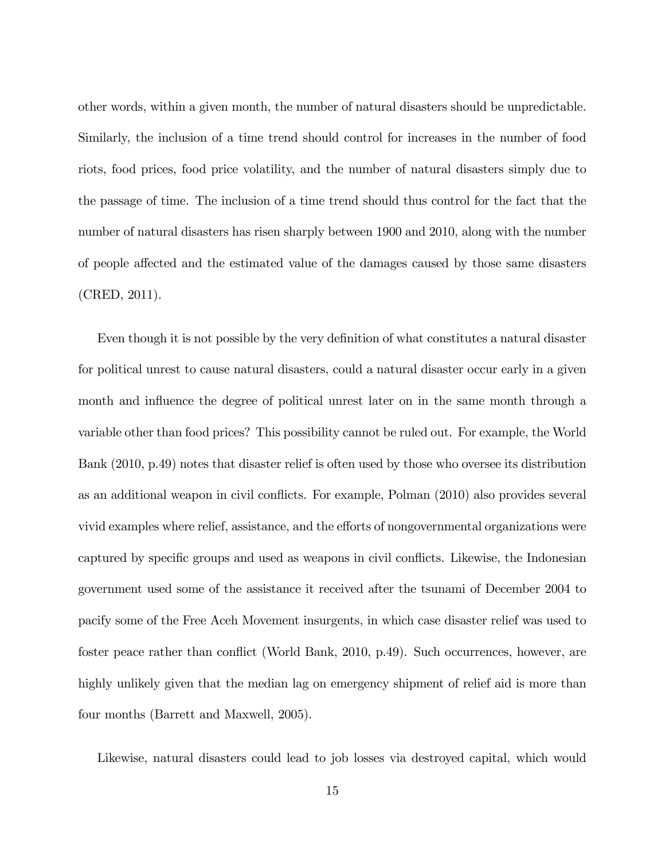other words, within a given month, the number of natural disasters should be unpredictable. Similarly, the inclusion of a time trend should control for increases in the number of food riots, food prices, food price volatility, and the number of natural disasters simply due to the passage of time. The inclusion of a time trend should thus control for the fact that the number of natural disasters has risen sharply between 1900 and 2010, along with the number of people affected and the estimated value of the damages caused by those same disasters (CRED, 2011).

Even though it is not possible by the very definition of what constitutes a natural disaster for political unrest to cause natural disasters, could a natural disaster occur early in a given month and influence the degree of political unrest later on in the same month through a variable other than food prices? This possibility cannot be ruled out. For example, the World Bank (2010, p.49) notes that disaster relief is often used by those who oversee its distribution as an additional weapon in civil conflicts. For example, Polman (2010) also provides several vivid examples where relief, assistance, and the efforts of nongovernmental organizations were captured by specific groups and used as weapons in civil conflicts. Likewise, the Indonesian government used some of the assistance it received after the tsunami of December 2004 to pacify some of the Free Aceh Movement insurgents, in which case disaster relief was used to foster peace rather than conflict (World Bank, 2010, p.49). Such occurrences, however, are highly unlikely given that the median lag on emergency shipment of relief aid is more than four months (Barrett and Maxwell, 2005).

Likewise, natural disasters could lead to job losses via destroyed capital, which would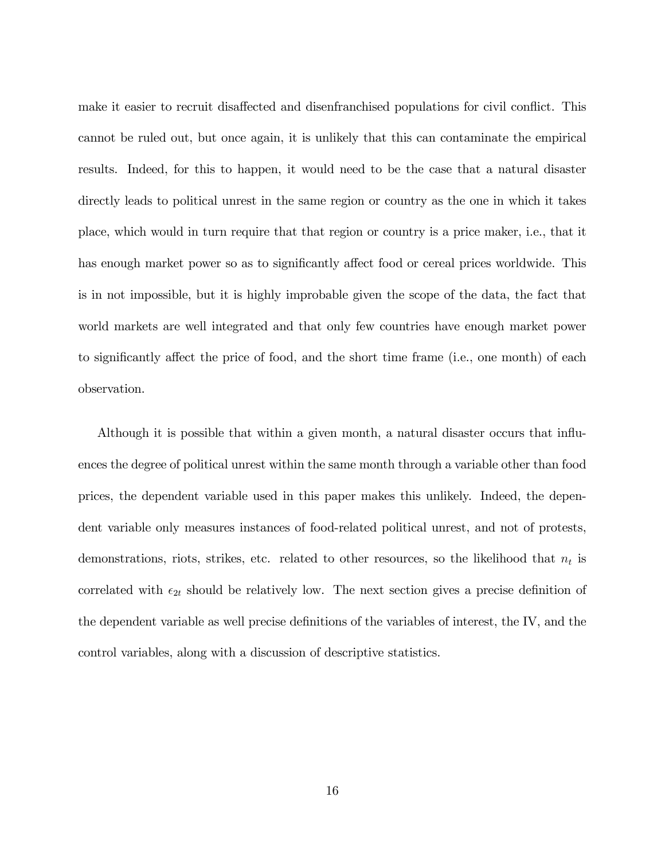make it easier to recruit disaffected and disenfranchised populations for civil conflict. This cannot be ruled out, but once again, it is unlikely that this can contaminate the empirical results. Indeed, for this to happen, it would need to be the case that a natural disaster directly leads to political unrest in the same region or country as the one in which it takes place, which would in turn require that that region or country is a price maker, i.e., that it has enough market power so as to significantly affect food or cereal prices worldwide. This is in not impossible, but it is highly improbable given the scope of the data, the fact that world markets are well integrated and that only few countries have enough market power to significantly affect the price of food, and the short time frame (i.e., one month) of each observation.

Although it is possible that within a given month, a natural disaster occurs that ináuences the degree of political unrest within the same month through a variable other than food prices, the dependent variable used in this paper makes this unlikely. Indeed, the dependent variable only measures instances of food-related political unrest, and not of protests, demonstrations, riots, strikes, etc. related to other resources, so the likelihood that  $n_t$  is correlated with  $\epsilon_{2t}$  should be relatively low. The next section gives a precise definition of the dependent variable as well precise definitions of the variables of interest, the IV, and the control variables, along with a discussion of descriptive statistics.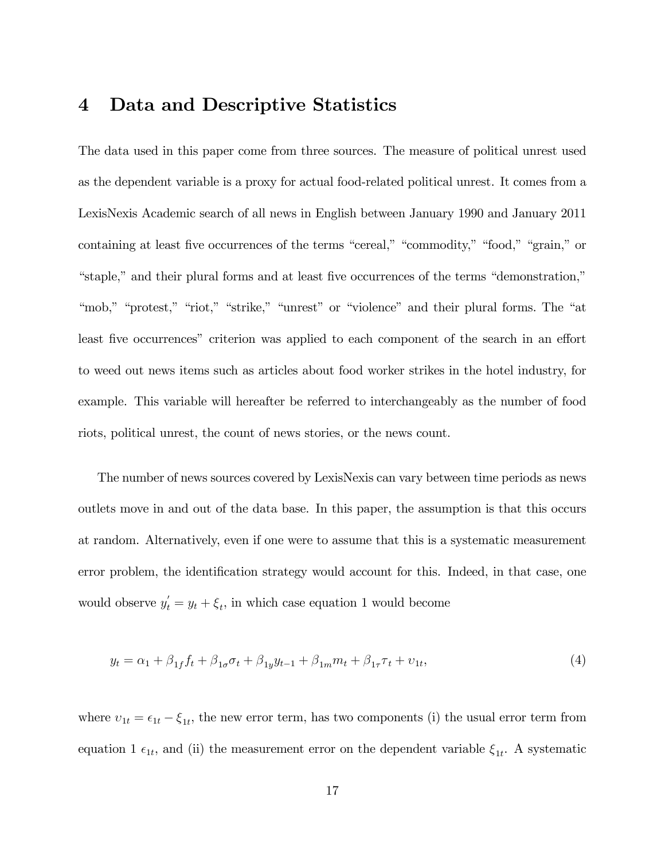#### 4 Data and Descriptive Statistics

The data used in this paper come from three sources. The measure of political unrest used as the dependent variable is a proxy for actual food-related political unrest. It comes from a LexisNexis Academic search of all news in English between January 1990 and January 2011 containing at least five occurrences of the terms "cereal," "commodity," "food," "grain," or "staple," and their plural forms and at least five occurrences of the terms "demonstration," "mob," "protest," "riot," "strike," "unrest" or "violence" and their plural forms. The "at least five occurrences" criterion was applied to each component of the search in an effort to weed out news items such as articles about food worker strikes in the hotel industry, for example. This variable will hereafter be referred to interchangeably as the number of food riots, political unrest, the count of news stories, or the news count.

The number of news sources covered by LexisNexis can vary between time periods as news outlets move in and out of the data base. In this paper, the assumption is that this occurs at random. Alternatively, even if one were to assume that this is a systematic measurement error problem, the identification strategy would account for this. Indeed, in that case, one would observe  $y'_t = y_t + \xi_t$ , in which case equation 1 would become

$$
y_t = \alpha_1 + \beta_{1f} f_t + \beta_{1\sigma} \sigma_t + \beta_{1y} y_{t-1} + \beta_{1m} m_t + \beta_{1\tau} \tau_t + \nu_{1t},\tag{4}
$$

where  $v_{1t} = \epsilon_{1t} - \xi_{1t}$ , the new error term, has two components (i) the usual error term from equation 1  $\epsilon_{1t}$ , and (ii) the measurement error on the dependent variable  $\xi_{1t}$ . A systematic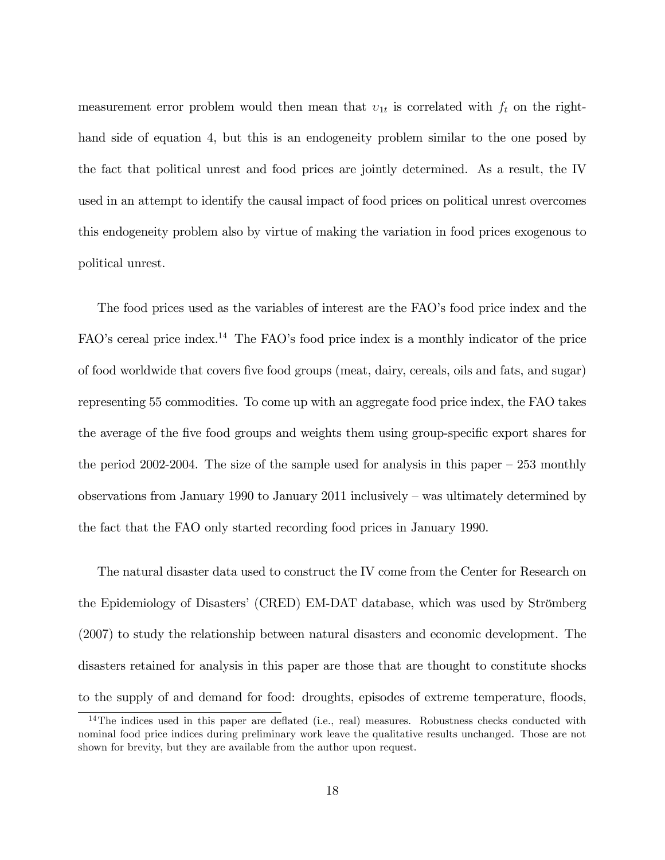measurement error problem would then mean that  $v_{1t}$  is correlated with  $f_t$  on the righthand side of equation 4, but this is an endogeneity problem similar to the one posed by the fact that political unrest and food prices are jointly determined. As a result, the IV used in an attempt to identify the causal impact of food prices on political unrest overcomes this endogeneity problem also by virtue of making the variation in food prices exogenous to political unrest.

The food prices used as the variables of interest are the FAO's food price index and the FAO's cereal price index.<sup>14</sup> The FAO's food price index is a monthly indicator of the price of food worldwide that covers Öve food groups (meat, dairy, cereals, oils and fats, and sugar) representing 55 commodities. To come up with an aggregate food price index, the FAO takes the average of the five food groups and weights them using group-specific export shares for the period 2002-2004. The size of the sample used for analysis in this paper  $-253$  monthly observations from January 1990 to January 2011 inclusively  $-$  was ultimately determined by the fact that the FAO only started recording food prices in January 1990.

The natural disaster data used to construct the IV come from the Center for Research on the Epidemiology of Disasters' (CRED) EM-DAT database, which was used by Strömberg (2007) to study the relationship between natural disasters and economic development. The disasters retained for analysis in this paper are those that are thought to constitute shocks to the supply of and demand for food: droughts, episodes of extreme temperature, floods,

 $14$ The indices used in this paper are deflated (i.e., real) measures. Robustness checks conducted with nominal food price indices during preliminary work leave the qualitative results unchanged. Those are not shown for brevity, but they are available from the author upon request.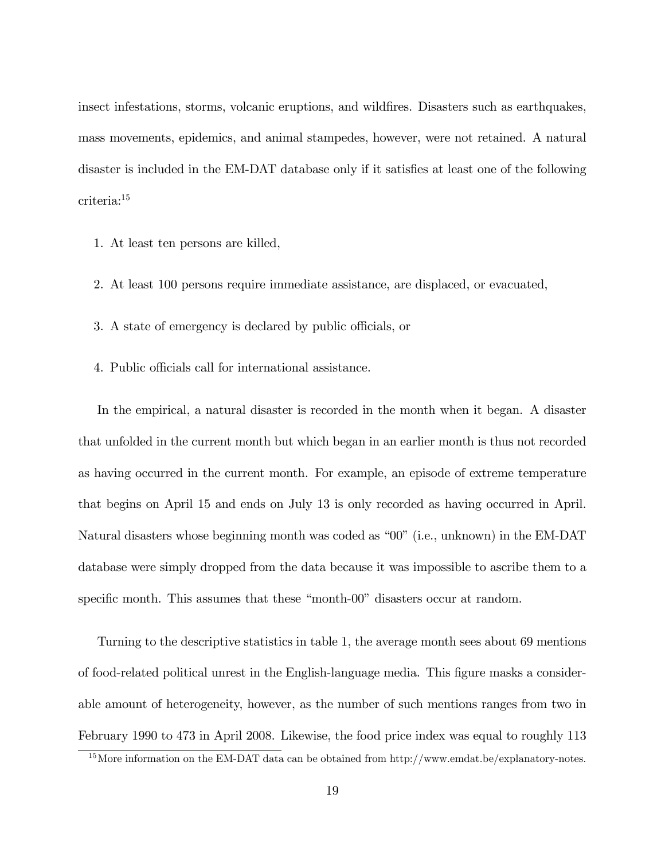insect infestations, storms, volcanic eruptions, and wildfires. Disasters such as earthquakes, mass movements, epidemics, and animal stampedes, however, were not retained. A natural disaster is included in the EM-DAT database only if it satisfies at least one of the following criteria:<sup>15</sup>

- 1. At least ten persons are killed,
- 2. At least 100 persons require immediate assistance, are displaced, or evacuated,
- 3. A state of emergency is declared by public officials, or
- 4. Public officials call for international assistance.

In the empirical, a natural disaster is recorded in the month when it began. A disaster that unfolded in the current month but which began in an earlier month is thus not recorded as having occurred in the current month. For example, an episode of extreme temperature that begins on April 15 and ends on July 13 is only recorded as having occurred in April. Natural disasters whose beginning month was coded as  $00$ <sup>"</sup> (i.e., unknown) in the EM-DAT database were simply dropped from the data because it was impossible to ascribe them to a specific month. This assumes that these "month-00" disasters occur at random.

Turning to the descriptive statistics in table 1, the average month sees about 69 mentions of food-related political unrest in the English-language media. This Ögure masks a considerable amount of heterogeneity, however, as the number of such mentions ranges from two in February 1990 to 473 in April 2008. Likewise, the food price index was equal to roughly 113

<sup>&</sup>lt;sup>15</sup>More information on the EM-DAT data can be obtained from http://www.emdat.be/explanatory-notes.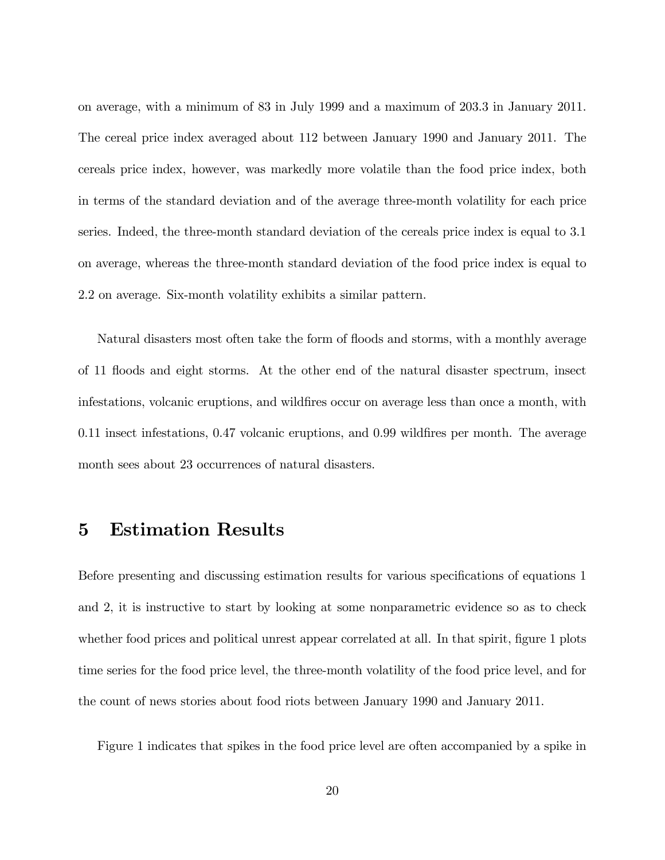on average, with a minimum of 83 in July 1999 and a maximum of 203.3 in January 2011. The cereal price index averaged about 112 between January 1990 and January 2011. The cereals price index, however, was markedly more volatile than the food price index, both in terms of the standard deviation and of the average three-month volatility for each price series. Indeed, the three-month standard deviation of the cereals price index is equal to 3.1 on average, whereas the three-month standard deviation of the food price index is equal to 2.2 on average. Six-month volatility exhibits a similar pattern.

Natural disasters most often take the form of floods and storms, with a monthly average of 11 áoods and eight storms. At the other end of the natural disaster spectrum, insect infestations, volcanic eruptions, and wildfires occur on average less than once a month, with 0.11 insect infestations, 0.47 volcanic eruptions, and 0.99 wildfires per month. The average month sees about 23 occurrences of natural disasters.

## 5 Estimation Results

Before presenting and discussing estimation results for various specifications of equations 1 and 2, it is instructive to start by looking at some nonparametric evidence so as to check whether food prices and political unrest appear correlated at all. In that spirit, figure 1 plots time series for the food price level, the three-month volatility of the food price level, and for the count of news stories about food riots between January 1990 and January 2011.

Figure 1 indicates that spikes in the food price level are often accompanied by a spike in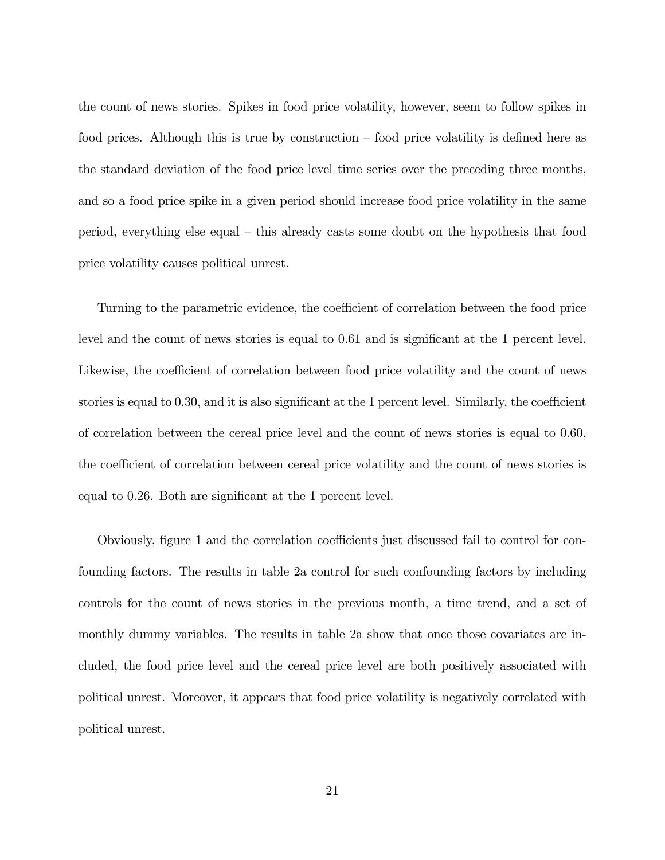the count of news stories. Spikes in food price volatility, however, seem to follow spikes in food prices. Although this is true by construction  $\sim$  food price volatility is defined here as the standard deviation of the food price level time series over the preceding three months, and so a food price spike in a given period should increase food price volatility in the same period, everything else equal  $-$  this already casts some doubt on the hypothesis that food price volatility causes political unrest.

Turning to the parametric evidence, the coefficient of correlation between the food price level and the count of news stories is equal to 0.61 and is significant at the 1 percent level. Likewise, the coefficient of correlation between food price volatility and the count of news stories is equal to  $0.30$ , and it is also significant at the 1 percent level. Similarly, the coefficient of correlation between the cereal price level and the count of news stories is equal to 0.60, the coefficient of correlation between cereal price volatility and the count of news stories is equal to 0.26. Both are significant at the 1 percent level.

Obviously, figure 1 and the correlation coefficients just discussed fail to control for confounding factors. The results in table 2a control for such confounding factors by including controls for the count of news stories in the previous month, a time trend, and a set of monthly dummy variables. The results in table 2a show that once those covariates are included, the food price level and the cereal price level are both positively associated with political unrest. Moreover, it appears that food price volatility is negatively correlated with political unrest.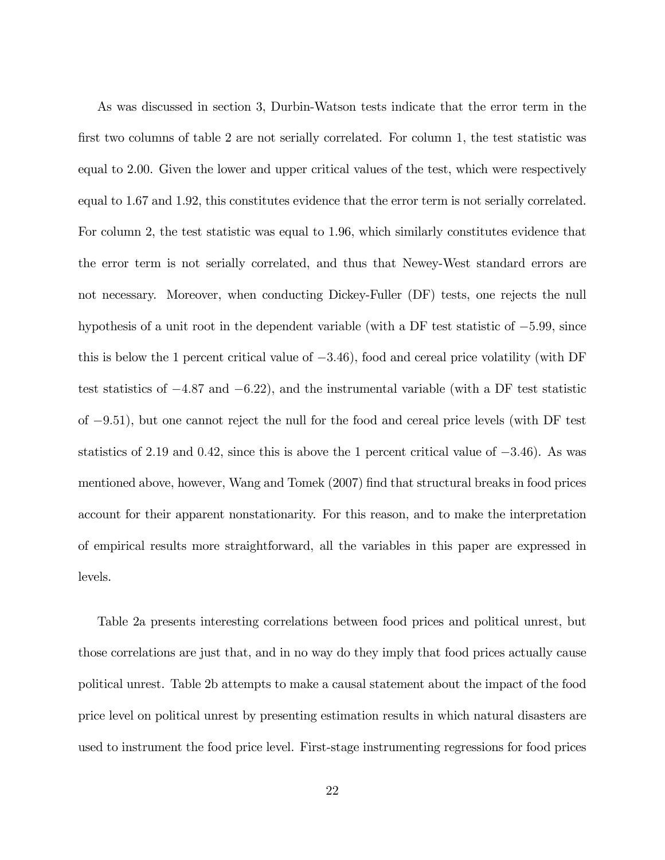As was discussed in section 3, Durbin-Watson tests indicate that the error term in the first two columns of table 2 are not serially correlated. For column 1, the test statistic was equal to 2.00. Given the lower and upper critical values of the test, which were respectively equal to 1.67 and 1.92, this constitutes evidence that the error term is not serially correlated. For column 2, the test statistic was equal to 1.96, which similarly constitutes evidence that the error term is not serially correlated, and thus that Newey-West standard errors are not necessary. Moreover, when conducting Dickey-Fuller (DF) tests, one rejects the null hypothesis of a unit root in the dependent variable (with a DF test statistic of  $-5.99$ , since this is below the 1 percent critical value of  $-3.46$ ), food and cereal price volatility (with DF test statistics of  $-4.87$  and  $-6.22$ ), and the instrumental variable (with a DF test statistic of  $-9.51$ ), but one cannot reject the null for the food and cereal price levels (with DF test statistics of 2.19 and 0.42, since this is above the 1 percent critical value of  $-3.46$ ). As was mentioned above, however, Wang and Tomek (2007) find that structural breaks in food prices account for their apparent nonstationarity. For this reason, and to make the interpretation of empirical results more straightforward, all the variables in this paper are expressed in levels.

Table 2a presents interesting correlations between food prices and political unrest, but those correlations are just that, and in no way do they imply that food prices actually cause political unrest. Table 2b attempts to make a causal statement about the impact of the food price level on political unrest by presenting estimation results in which natural disasters are used to instrument the food price level. First-stage instrumenting regressions for food prices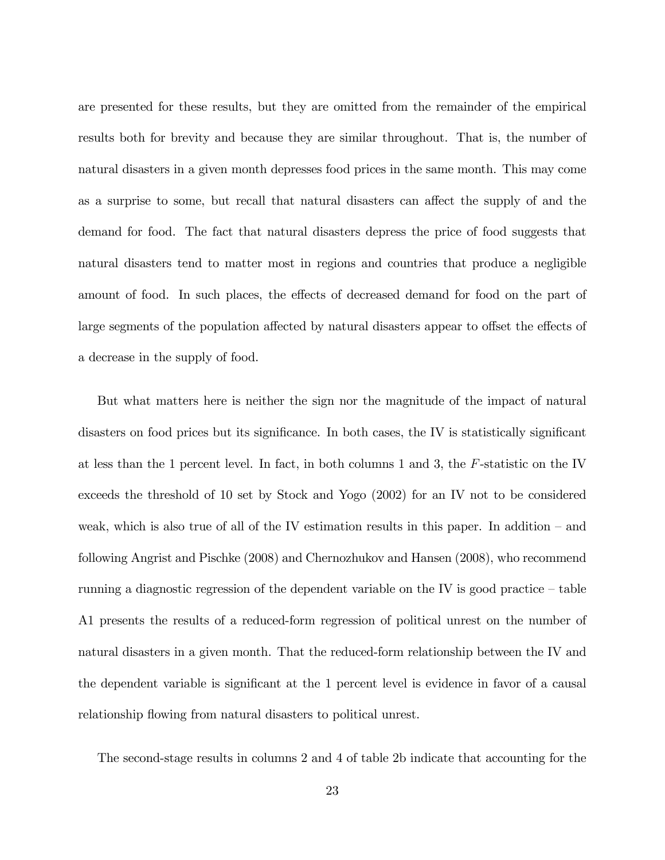are presented for these results, but they are omitted from the remainder of the empirical results both for brevity and because they are similar throughout. That is, the number of natural disasters in a given month depresses food prices in the same month. This may come as a surprise to some, but recall that natural disasters can affect the supply of and the demand for food. The fact that natural disasters depress the price of food suggests that natural disasters tend to matter most in regions and countries that produce a negligible amount of food. In such places, the effects of decreased demand for food on the part of large segments of the population affected by natural disasters appear to offset the effects of a decrease in the supply of food.

But what matters here is neither the sign nor the magnitude of the impact of natural disasters on food prices but its significance. In both cases, the IV is statistically significant at less than the 1 percent level. In fact, in both columns 1 and 3, the F-statistic on the IV exceeds the threshold of 10 set by Stock and Yogo (2002) for an IV not to be considered weak, which is also true of all of the IV estimation results in this paper. In addition  $-$  and following Angrist and Pischke (2008) and Chernozhukov and Hansen (2008), who recommend running a diagnostic regression of the dependent variable on the IV is good practice  $-\t{table}$ A1 presents the results of a reduced-form regression of political unrest on the number of natural disasters in a given month. That the reduced-form relationship between the IV and the dependent variable is significant at the 1 percent level is evidence in favor of a causal relationship flowing from natural disasters to political unrest.

The second-stage results in columns 2 and 4 of table 2b indicate that accounting for the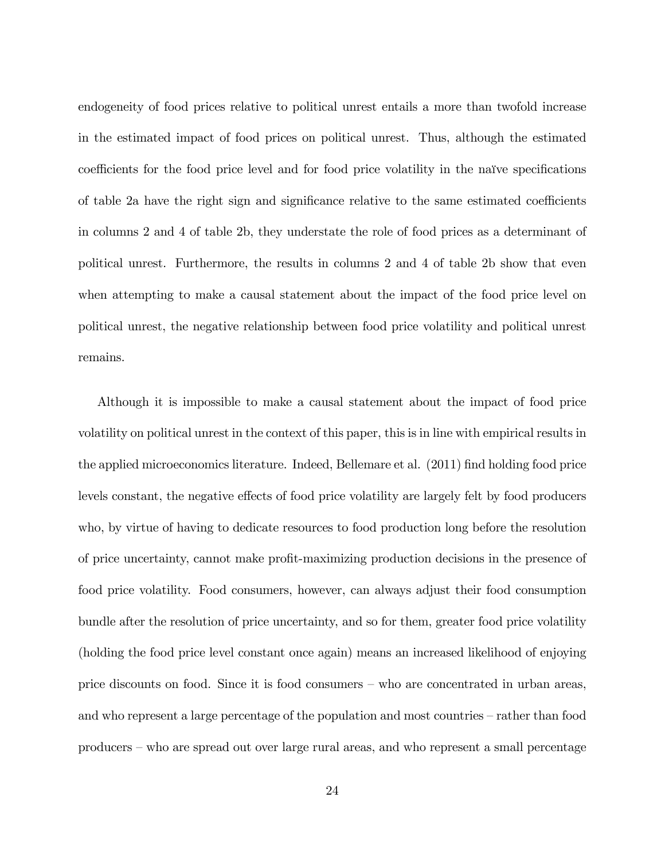endogeneity of food prices relative to political unrest entails a more than twofold increase in the estimated impact of food prices on political unrest. Thus, although the estimated coefficients for the food price level and for food price volatility in the naïve specifications of table 2a have the right sign and significance relative to the same estimated coefficients in columns 2 and 4 of table 2b, they understate the role of food prices as a determinant of political unrest. Furthermore, the results in columns 2 and 4 of table 2b show that even when attempting to make a causal statement about the impact of the food price level on political unrest, the negative relationship between food price volatility and political unrest remains.

Although it is impossible to make a causal statement about the impact of food price volatility on political unrest in the context of this paper, this is in line with empirical results in the applied microeconomics literature. Indeed, Bellemare et al. (2011) find holding food price levels constant, the negative effects of food price volatility are largely felt by food producers who, by virtue of having to dedicate resources to food production long before the resolution of price uncertainty, cannot make profit-maximizing production decisions in the presence of food price volatility. Food consumers, however, can always adjust their food consumption bundle after the resolution of price uncertainty, and so for them, greater food price volatility (holding the food price level constant once again) means an increased likelihood of enjoying price discounts on food. Since it is food consumers  $-\mu$  who are concentrated in urban areas, and who represent a large percentage of the population and most countries  $-$  rather than food producers – who are spread out over large rural areas, and who represent a small percentage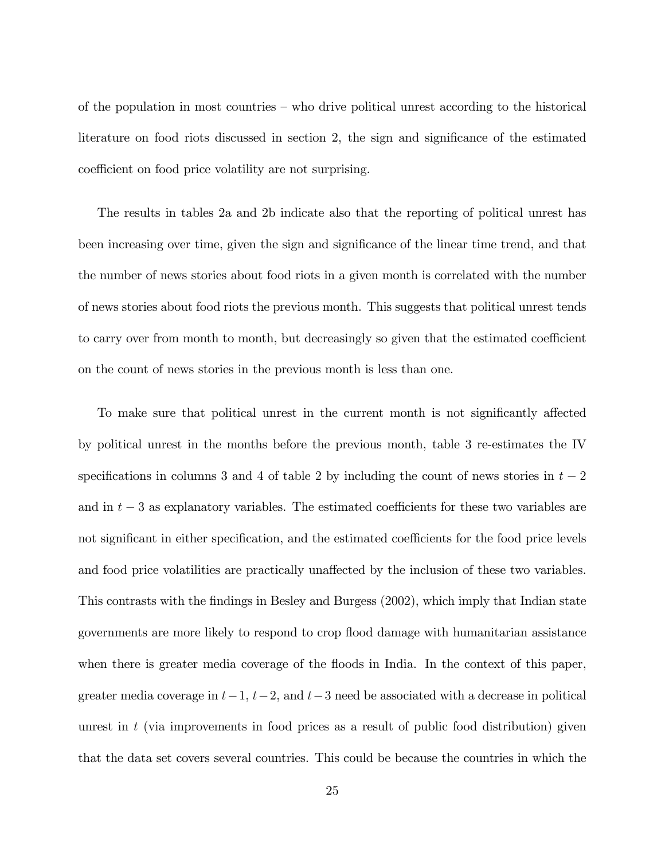of the population in most countries  $-\omega$  who drive political unrest according to the historical literature on food riots discussed in section 2, the sign and significance of the estimated coefficient on food price volatility are not surprising.

The results in tables 2a and 2b indicate also that the reporting of political unrest has been increasing over time, given the sign and significance of the linear time trend, and that the number of news stories about food riots in a given month is correlated with the number of news stories about food riots the previous month. This suggests that political unrest tends to carry over from month to month, but decreasingly so given that the estimated coefficient on the count of news stories in the previous month is less than one.

To make sure that political unrest in the current month is not significantly affected by political unrest in the months before the previous month, table 3 re-estimates the IV specifications in columns 3 and 4 of table 2 by including the count of news stories in  $t - 2$ and in  $t - 3$  as explanatory variables. The estimated coefficients for these two variables are not significant in either specification, and the estimated coefficients for the food price levels and food price volatilities are practically unaffected by the inclusion of these two variables. This contrasts with the Öndings in Besley and Burgess (2002), which imply that Indian state governments are more likely to respond to crop áood damage with humanitarian assistance when there is greater media coverage of the floods in India. In the context of this paper, greater media coverage in  $t-1$ ,  $t-2$ , and  $t-3$  need be associated with a decrease in political unrest in  $t$  (via improvements in food prices as a result of public food distribution) given that the data set covers several countries. This could be because the countries in which the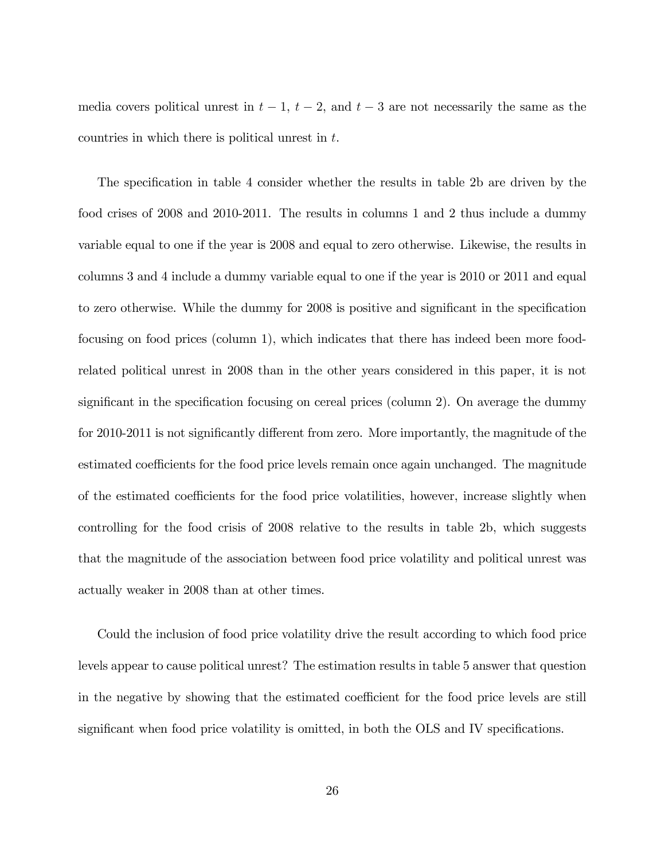media covers political unrest in  $t - 1$ ,  $t - 2$ , and  $t - 3$  are not necessarily the same as the countries in which there is political unrest in t.

The specification in table 4 consider whether the results in table 2b are driven by the food crises of 2008 and 2010-2011. The results in columns 1 and 2 thus include a dummy variable equal to one if the year is 2008 and equal to zero otherwise. Likewise, the results in columns 3 and 4 include a dummy variable equal to one if the year is 2010 or 2011 and equal to zero otherwise. While the dummy for 2008 is positive and significant in the specification focusing on food prices (column 1), which indicates that there has indeed been more foodrelated political unrest in 2008 than in the other years considered in this paper, it is not significant in the specification focusing on cereal prices (column 2). On average the dummy for 2010-2011 is not significantly different from zero. More importantly, the magnitude of the estimated coefficients for the food price levels remain once again unchanged. The magnitude of the estimated coefficients for the food price volatilities, however, increase slightly when controlling for the food crisis of 2008 relative to the results in table 2b, which suggests that the magnitude of the association between food price volatility and political unrest was actually weaker in 2008 than at other times.

Could the inclusion of food price volatility drive the result according to which food price levels appear to cause political unrest? The estimation results in table 5 answer that question in the negative by showing that the estimated coefficient for the food price levels are still significant when food price volatility is omitted, in both the OLS and IV specifications.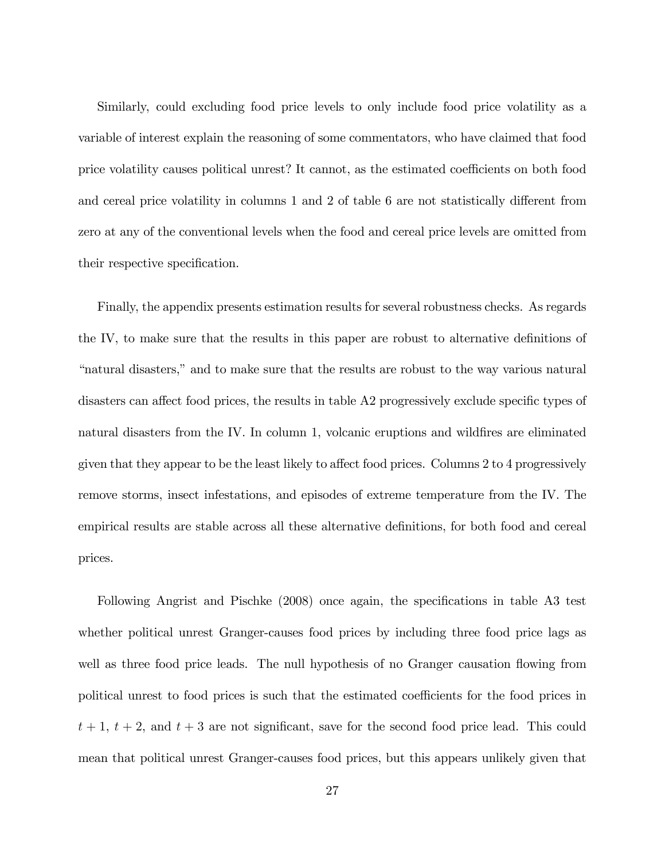Similarly, could excluding food price levels to only include food price volatility as a variable of interest explain the reasoning of some commentators, who have claimed that food price volatility causes political unrest? It cannot, as the estimated coefficients on both food and cereal price volatility in columns  $1$  and  $2$  of table  $6$  are not statistically different from zero at any of the conventional levels when the food and cereal price levels are omitted from their respective specification.

Finally, the appendix presents estimation results for several robustness checks. As regards the IV, to make sure that the results in this paper are robust to alternative definitions of ìnatural disasters,îand to make sure that the results are robust to the way various natural disasters can affect food prices, the results in table  $A2$  progressively exclude specific types of natural disasters from the IV. In column 1, volcanic eruptions and wildfires are eliminated given that they appear to be the least likely to affect food prices. Columns 2 to 4 progressively remove storms, insect infestations, and episodes of extreme temperature from the IV. The empirical results are stable across all these alternative definitions, for both food and cereal prices.

Following Angrist and Pischke (2008) once again, the specifications in table A3 test whether political unrest Granger-causes food prices by including three food price lags as well as three food price leads. The null hypothesis of no Granger causation flowing from political unrest to food prices is such that the estimated coefficients for the food prices in  $t + 1$ ,  $t + 2$ , and  $t + 3$  are not significant, save for the second food price lead. This could mean that political unrest Granger-causes food prices, but this appears unlikely given that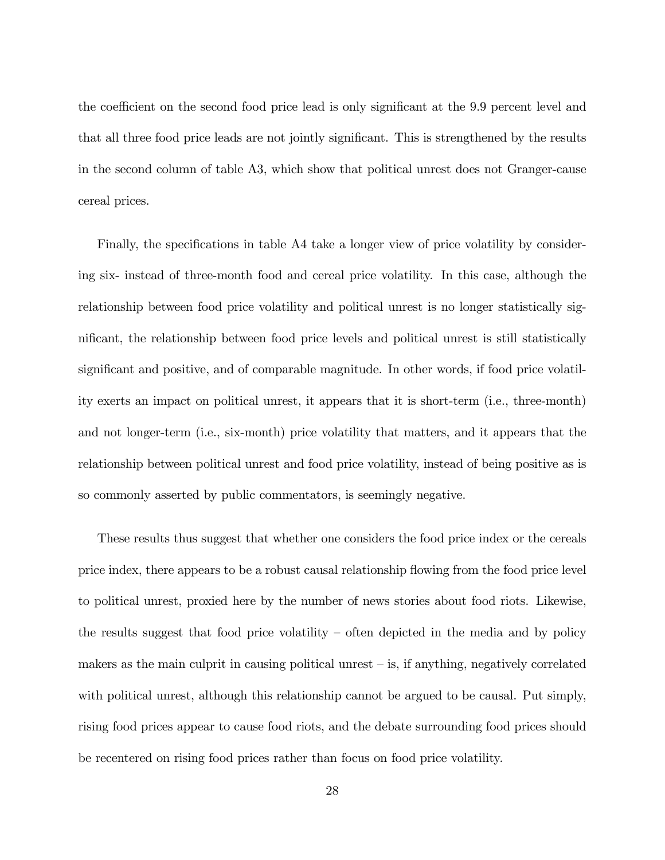the coefficient on the second food price lead is only significant at the 9.9 percent level and that all three food price leads are not jointly significant. This is strengthened by the results in the second column of table A3, which show that political unrest does not Granger-cause cereal prices.

Finally, the specifications in table A4 take a longer view of price volatility by considering six- instead of three-month food and cereal price volatility. In this case, although the relationship between food price volatility and political unrest is no longer statistically significant, the relationship between food price levels and political unrest is still statistically significant and positive, and of comparable magnitude. In other words, if food price volatility exerts an impact on political unrest, it appears that it is short-term (i.e., three-month) and not longer-term (i.e., six-month) price volatility that matters, and it appears that the relationship between political unrest and food price volatility, instead of being positive as is so commonly asserted by public commentators, is seemingly negative.

These results thus suggest that whether one considers the food price index or the cereals price index, there appears to be a robust causal relationship flowing from the food price level to political unrest, proxied here by the number of news stories about food riots. Likewise, the results suggest that food price volatility  $\sim$  often depicted in the media and by policy makers as the main culprit in causing political unrest  $-\mathrm{is}$ , if anything, negatively correlated with political unrest, although this relationship cannot be argued to be causal. Put simply, rising food prices appear to cause food riots, and the debate surrounding food prices should be recentered on rising food prices rather than focus on food price volatility.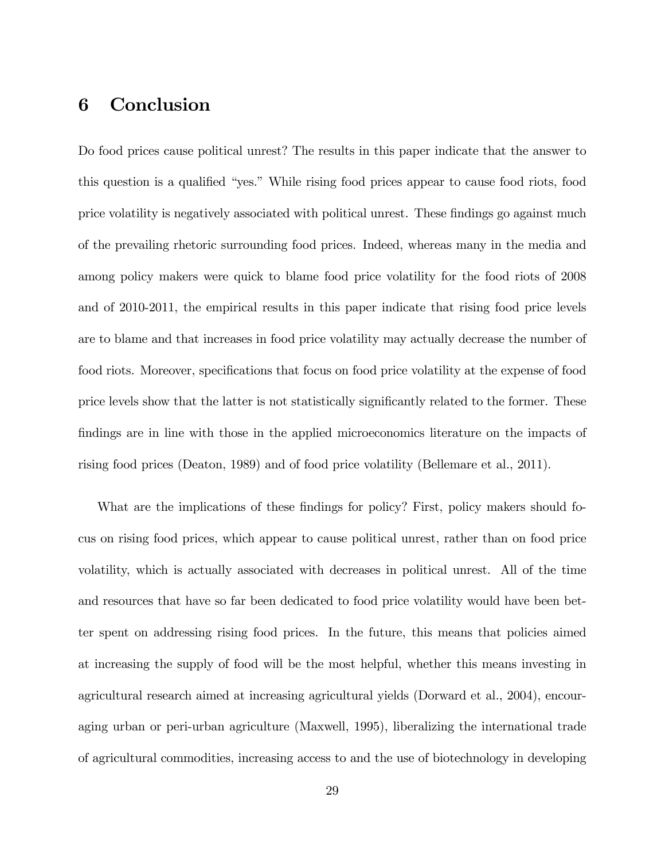# 6 Conclusion

Do food prices cause political unrest? The results in this paper indicate that the answer to this question is a qualified "yes." While rising food prices appear to cause food riots, food price volatility is negatively associated with political unrest. These findings go against much of the prevailing rhetoric surrounding food prices. Indeed, whereas many in the media and among policy makers were quick to blame food price volatility for the food riots of 2008 and of 2010-2011, the empirical results in this paper indicate that rising food price levels are to blame and that increases in food price volatility may actually decrease the number of food riots. Moreover, specifications that focus on food price volatility at the expense of food price levels show that the latter is not statistically significantly related to the former. These findings are in line with those in the applied microeconomics literature on the impacts of rising food prices (Deaton, 1989) and of food price volatility (Bellemare et al., 2011).

What are the implications of these findings for policy? First, policy makers should focus on rising food prices, which appear to cause political unrest, rather than on food price volatility, which is actually associated with decreases in political unrest. All of the time and resources that have so far been dedicated to food price volatility would have been better spent on addressing rising food prices. In the future, this means that policies aimed at increasing the supply of food will be the most helpful, whether this means investing in agricultural research aimed at increasing agricultural yields (Dorward et al., 2004), encouraging urban or peri-urban agriculture (Maxwell, 1995), liberalizing the international trade of agricultural commodities, increasing access to and the use of biotechnology in developing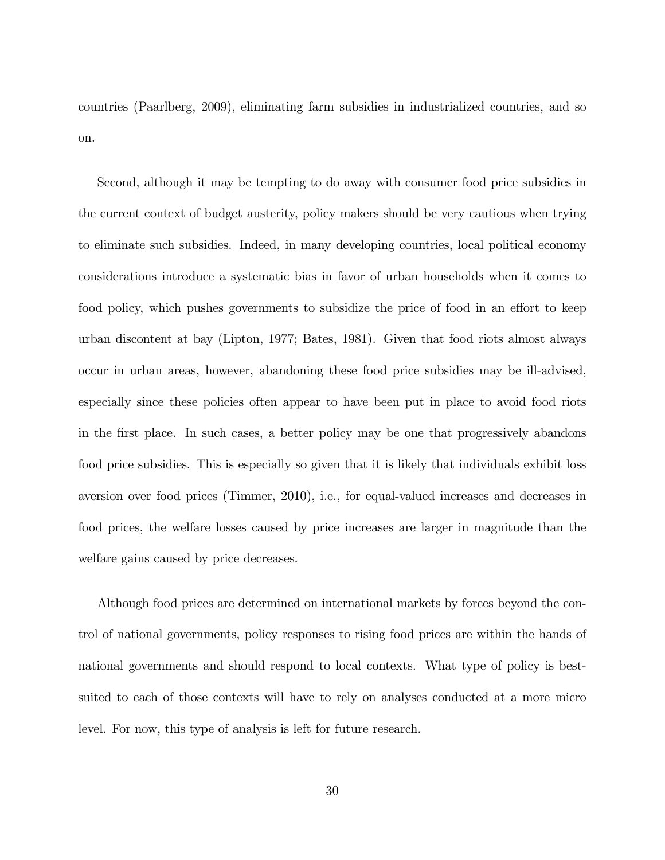countries (Paarlberg, 2009), eliminating farm subsidies in industrialized countries, and so on.

Second, although it may be tempting to do away with consumer food price subsidies in the current context of budget austerity, policy makers should be very cautious when trying to eliminate such subsidies. Indeed, in many developing countries, local political economy considerations introduce a systematic bias in favor of urban households when it comes to food policy, which pushes governments to subsidize the price of food in an effort to keep urban discontent at bay (Lipton, 1977; Bates, 1981). Given that food riots almost always occur in urban areas, however, abandoning these food price subsidies may be ill-advised, especially since these policies often appear to have been put in place to avoid food riots in the Örst place. In such cases, a better policy may be one that progressively abandons food price subsidies. This is especially so given that it is likely that individuals exhibit loss aversion over food prices (Timmer, 2010), i.e., for equal-valued increases and decreases in food prices, the welfare losses caused by price increases are larger in magnitude than the welfare gains caused by price decreases.

Although food prices are determined on international markets by forces beyond the control of national governments, policy responses to rising food prices are within the hands of national governments and should respond to local contexts. What type of policy is bestsuited to each of those contexts will have to rely on analyses conducted at a more micro level. For now, this type of analysis is left for future research.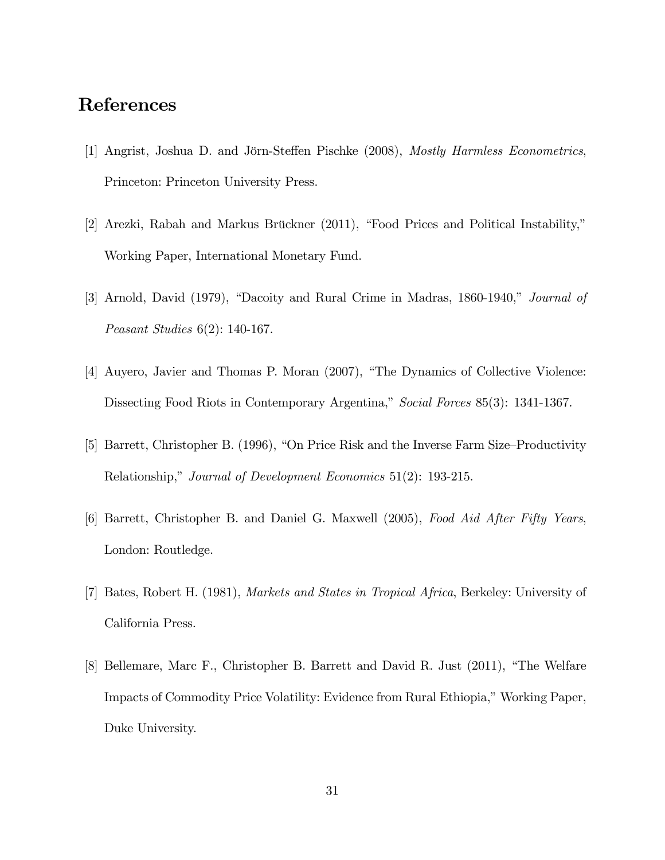### References

- [1] Angrist, Joshua D. and Jörn-Steffen Pischke (2008), *Mostly Harmless Econometrics*, Princeton: Princeton University Press.
- [2] Arezki, Rabah and Markus Brückner (2011), "Food Prices and Political Instability," Working Paper, International Monetary Fund.
- [3] Arnold, David  $(1979)$ , "Dacoity and Rural Crime in Madras, 1860-1940," *Journal of* Peasant Studies 6(2): 140-167.
- [4] Auyero, Javier and Thomas P. Moran  $(2007)$ , "The Dynamics of Collective Violence: Dissecting Food Riots in Contemporary Argentina," Social Forces 85(3): 1341-1367.
- [5] Barrett, Christopher B. (1996), "On Price Risk and the Inverse Farm Size–Productivity Relationship," Journal of Development Economics  $51(2)$ : 193-215.
- [6] Barrett, Christopher B. and Daniel G. Maxwell (2005), Food Aid After Fifty Years, London: Routledge.
- [7] Bates, Robert H. (1981), Markets and States in Tropical Africa, Berkeley: University of California Press.
- [8] Bellemare, Marc F., Christopher B. Barrett and David R. Just  $(2011)$ , "The Welfare Impacts of Commodity Price Volatility: Evidence from Rural Ethiopia," Working Paper, Duke University.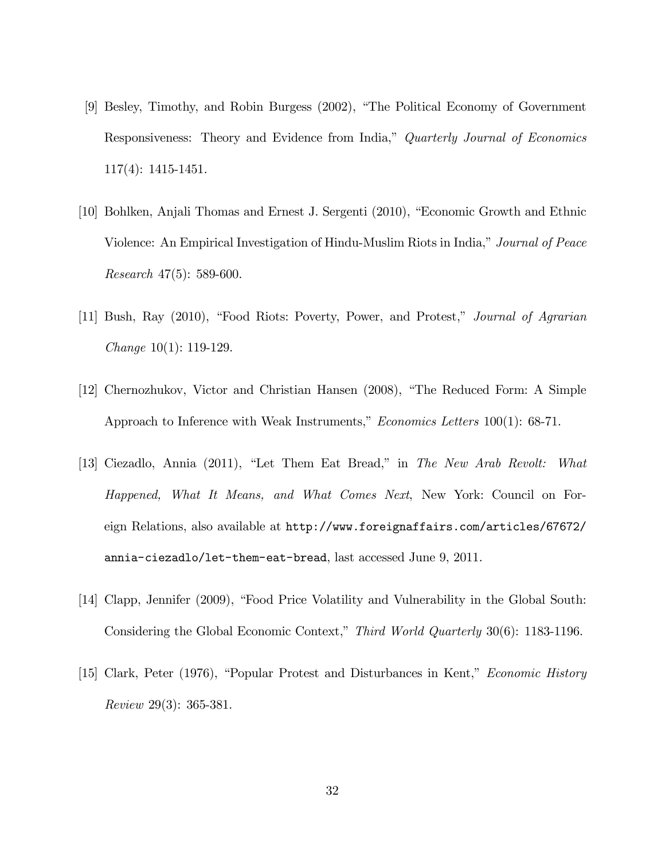- [9] Besley, Timothy, and Robin Burgess (2002), "The Political Economy of Government Responsiveness: Theory and Evidence from India," Quarterly Journal of Economics 117(4): 1415-1451.
- [10] Bohlken, Anjali Thomas and Ernest J. Sergenti (2010), "Economic Growth and Ethnic Violence: An Empirical Investigation of Hindu-Muslim Riots in India," Journal of Peace Research 47(5): 589-600.
- [11] Bush, Ray (2010), "Food Riots: Poverty, Power, and Protest," Journal of Agrarian Change 10(1): 119-129.
- [12] Chernozhukov, Victor and Christian Hansen (2008), "The Reduced Form: A Simple Approach to Inference with Weak Instruments," *Economics Letters* 100(1): 68-71.
- [13] Ciezadlo, Annia  $(2011)$ , "Let Them Eat Bread," in The New Arab Revolt: What Happened, What It Means, and What Comes Next, New York: Council on Foreign Relations, also available at http://www.foreignaffairs.com/articles/67672/ annia-ciezadlo/let-them-eat-bread, last accessed June 9, 2011.
- [14] Clapp, Jennifer (2009), "Food Price Volatility and Vulnerability in the Global South: Considering the Global Economic Context," Third World Quarterly 30(6): 1183-1196.
- [15] Clark, Peter (1976), "Popular Protest and Disturbances in Kent," Economic History Review 29(3): 365-381.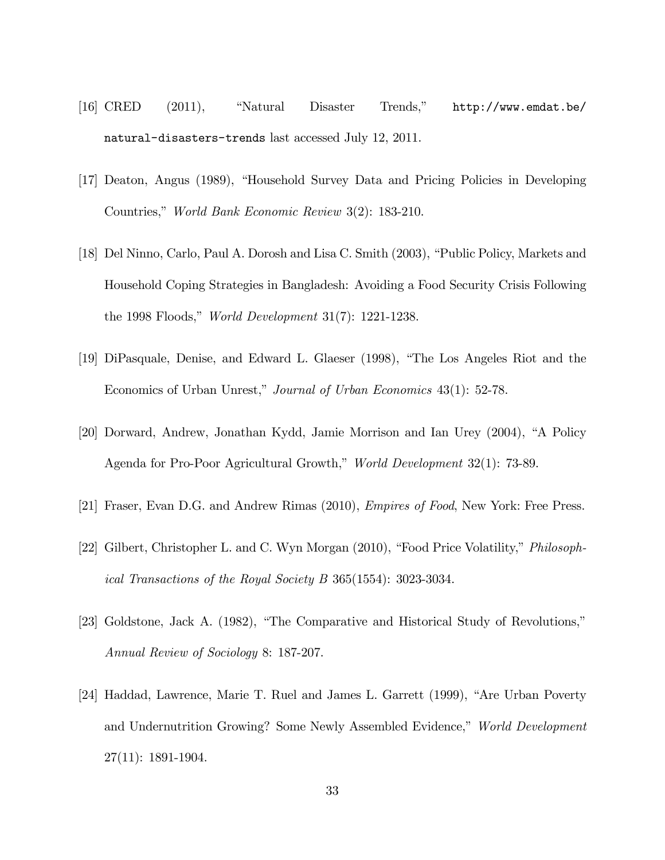- [16]  $CRED$  (2011), "Natural Disaster Trends,"  $http://www.emdat.be/$ natural-disasters-trends last accessed July 12, 2011.
- [17] Deaton, Angus (1989), "Household Survey Data and Pricing Policies in Developing Countries," World Bank Economic Review 3(2): 183-210.
- [18] Del Ninno, Carlo, Paul A. Dorosh and Lisa C. Smith (2003), "Public Policy, Markets and Household Coping Strategies in Bangladesh: Avoiding a Food Security Crisis Following the 1998 Floods," *World Development*  $31(7)$ : 1221-1238.
- [19] DiPasquale, Denise, and Edward L. Glaeser (1998), "The Los Angeles Riot and the Economics of Urban Unrest," Journal of Urban Economics 43(1): 52-78.
- [20] Dorward, Andrew, Jonathan Kydd, Jamie Morrison and Ian Urey (2004), "A Policy Agenda for Pro-Poor Agricultural Growth," World Development 32(1): 73-89.
- [21] Fraser, Evan D.G. and Andrew Rimas (2010), Empires of Food, New York: Free Press.
- [22] Gilbert, Christopher L. and C. Wyn Morgan (2010), "Food Price Volatility," *Philosoph*ical Transactions of the Royal Society B 365(1554): 3023-3034.
- [23] Goldstone, Jack A.  $(1982)$ , "The Comparative and Historical Study of Revolutions," Annual Review of Sociology 8: 187-207.
- [24] Haddad, Lawrence, Marie T. Ruel and James L. Garrett (1999), "Are Urban Poverty and Undernutrition Growing? Some Newly Assembled Evidence," World Development 27(11): 1891-1904.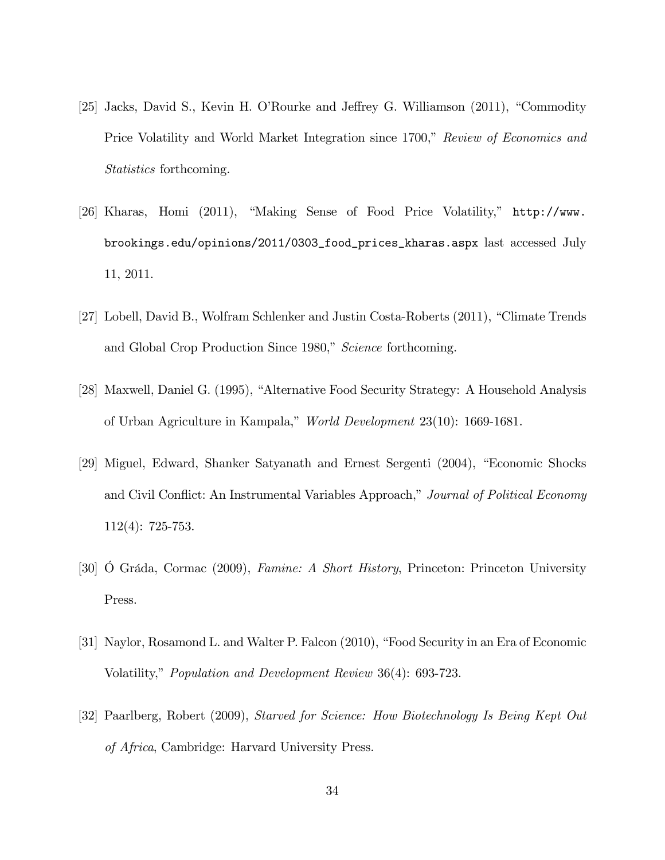- [25] Jacks, David S., Kevin H. O'Rourke and Jeffrey G. Williamson (2011), "Commodity Price Volatility and World Market Integration since 1700," Review of Economics and Statistics forthcoming.
- [26] Kharas, Homi (2011), "Making Sense of Food Price Volatility,"  $http://www.$ brookings.edu/opinions/2011/0303\_food\_prices\_kharas.aspx last accessed July 11, 2011.
- [27] Lobell, David B., Wolfram Schlenker and Justin Costa-Roberts (2011), "Climate Trends and Global Crop Production Since 1980," Science forthcoming.
- [28] Maxwell, Daniel G. (1995), "Alternative Food Security Strategy: A Household Analysis of Urban Agriculture in Kampala," World Development 23(10): 1669-1681.
- [29] Miguel, Edward, Shanker Satyanath and Ernest Sergenti (2004), "Economic Shocks and Civil Conflict: An Instrumental Variables Approach," Journal of Political Economy 112(4): 725-753.
- [30] O Gráda, Cormac (2009), Famine: A Short History, Princeton: Princeton University Press.
- [31] Naylor, Rosamond L. and Walter P. Falcon (2010), "Food Security in an Era of Economic Volatility," Population and Development Review 36(4): 693-723.
- [32] Paarlberg, Robert (2009), Starved for Science: How Biotechnology Is Being Kept Out of Africa, Cambridge: Harvard University Press.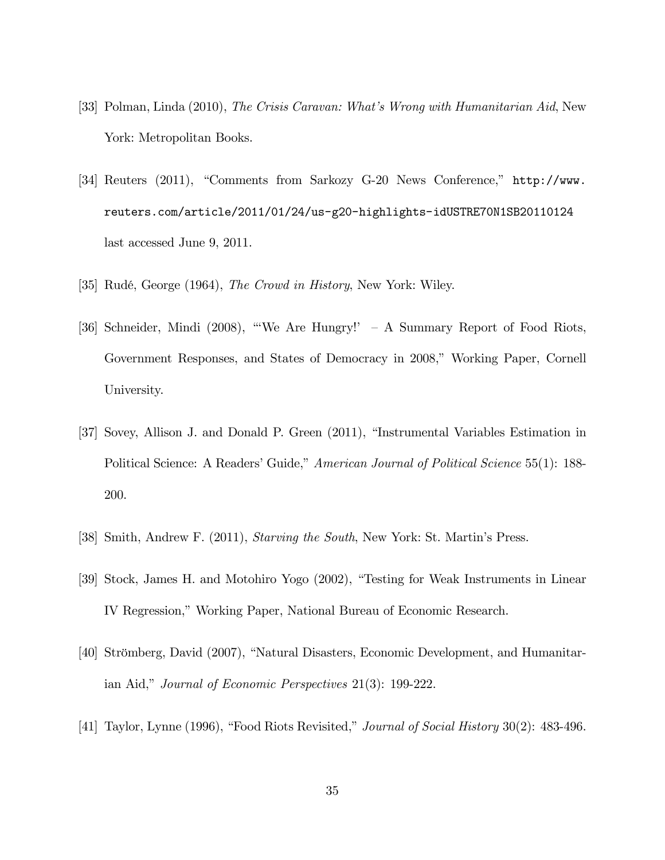- [33] Polman, Linda (2010), The Crisis Caravan: What's Wrong with Humanitarian Aid, New York: Metropolitan Books.
- [34] Reuters (2011), "Comments from Sarkozy G-20 News Conference," http://www. reuters.com/article/2011/01/24/us-g20-highlights-idUSTRE70N1SB20110124 last accessed June 9, 2011.
- [35] Rudé, George (1964), *The Crowd in History*, New York: Wiley.
- [36] Schneider, Mindi (2008), "We Are Hungry!'  $-$  A Summary Report of Food Riots, Government Responses, and States of Democracy in 2008," Working Paper, Cornell University.
- [37] Sovey, Allison J. and Donald P. Green (2011), "Instrumental Variables Estimation in Political Science: A Readers' Guide," American Journal of Political Science 55(1): 188-200.
- [38] Smith, Andrew F. (2011), Starving the South, New York: St. Martin's Press.
- [39] Stock, James H. and Motohiro Yogo (2002), "Testing for Weak Instruments in Linear IV Regression," Working Paper, National Bureau of Economic Research.
- [40] Strömberg, David (2007), "Natural Disasters, Economic Development, and Humanitarian Aid," Journal of Economic Perspectives  $21(3)$ : 199-222.
- [41] Taylor, Lynne (1996), "Food Riots Revisited," *Journal of Social History*  $30(2)$ : 483-496.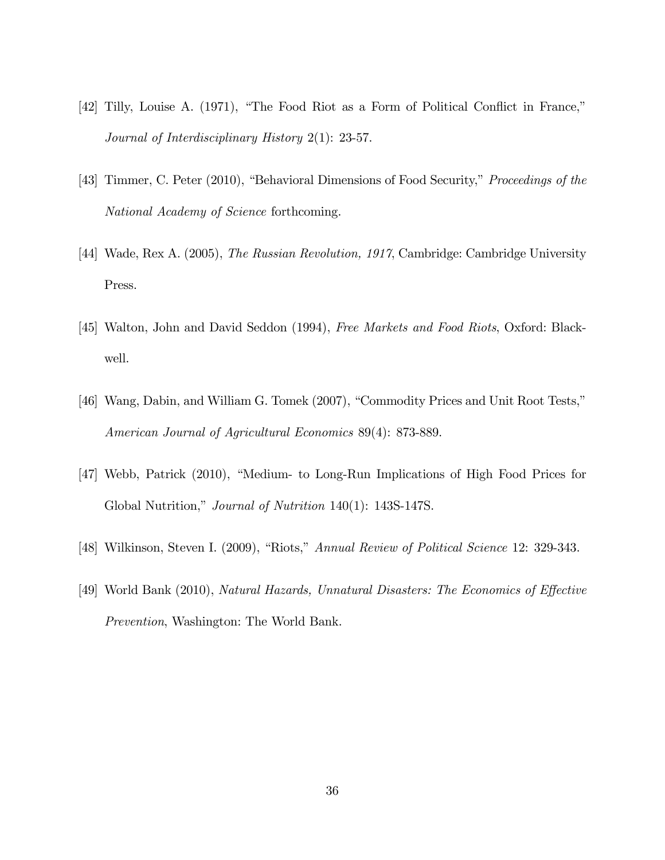- $[42]$  Tilly, Louise A.  $(1971)$ , "The Food Riot as a Form of Political Conflict in France," Journal of Interdisciplinary History 2(1): 23-57.
- [43] Timmer, C. Peter (2010), "Behavioral Dimensions of Food Security," Proceedings of the National Academy of Science forthcoming.
- [44] Wade, Rex A. (2005), The Russian Revolution, 1917, Cambridge: Cambridge University Press.
- [45] Walton, John and David Seddon (1994), *Free Markets and Food Riots*, Oxford: Blackwell.
- [46] Wang, Dabin, and William G. Tomek (2007), "Commodity Prices and Unit Root Tests," American Journal of Agricultural Economics 89(4): 873-889.
- [47] Webb, Patrick (2010), "Medium- to Long-Run Implications of High Food Prices for Global Nutrition," *Journal of Nutrition* 140(1): 143S-147S.
- [48] Wilkinson, Steven I. (2009), "Riots," Annual Review of Political Science 12: 329-343.
- [49] World Bank (2010), Natural Hazards, Unnatural Disasters: The Economics of Effective Prevention, Washington: The World Bank.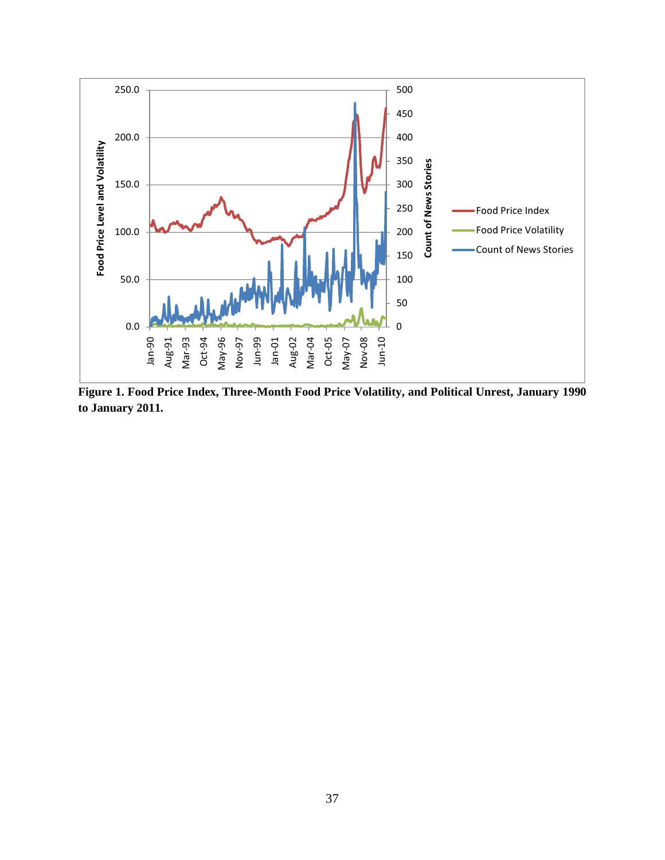

**Figure 1. Food Price Index, Three-Month Food Price Volatility, and Political Unrest, January 1990 to January 2011.**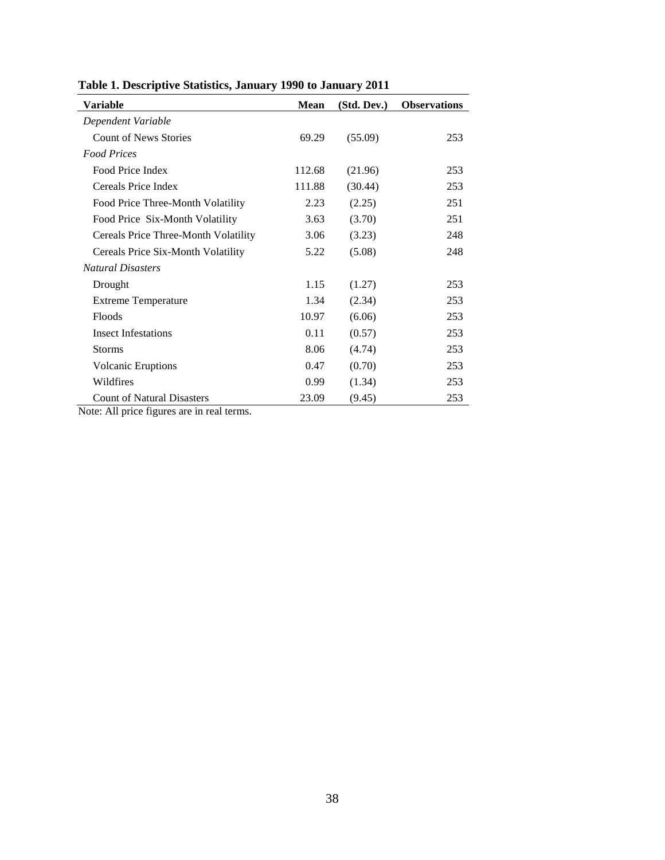| Variable                             | Mean   | (Std. Dev.) | <b>Observations</b> |
|--------------------------------------|--------|-------------|---------------------|
| Dependent Variable                   |        |             |                     |
| <b>Count of News Stories</b>         | 69.29  | (55.09)     | 253                 |
| <b>Food Prices</b>                   |        |             |                     |
| Food Price Index                     | 112.68 | (21.96)     | 253                 |
| Cereals Price Index                  | 111.88 | (30.44)     | 253                 |
| Food Price Three-Month Volatility    | 2.23   | (2.25)      | 251                 |
| Food Price Six-Month Volatility      | 3.63   | (3.70)      | 251                 |
| Cereals Price Three-Month Volatility | 3.06   | (3.23)      | 248                 |
| Cereals Price Six-Month Volatility   | 5.22   | (5.08)      | 248                 |
| <b>Natural Disasters</b>             |        |             |                     |
| Drought                              | 1.15   | (1.27)      | 253                 |
| <b>Extreme Temperature</b>           | 1.34   | (2.34)      | 253                 |
| Floods                               | 10.97  | (6.06)      | 253                 |
| <b>Insect Infestations</b>           | 0.11   | (0.57)      | 253                 |
| <b>Storms</b>                        | 8.06   | (4.74)      | 253                 |
| <b>Volcanic Eruptions</b>            | 0.47   | (0.70)      | 253                 |
| Wildfires                            | 0.99   | (1.34)      | 253                 |
| <b>Count of Natural Disasters</b>    | 23.09  | (9.45)      | 253                 |

**Table 1. Descriptive Statistics, January 1990 to January 2011** 

Note: All price figures are in real terms.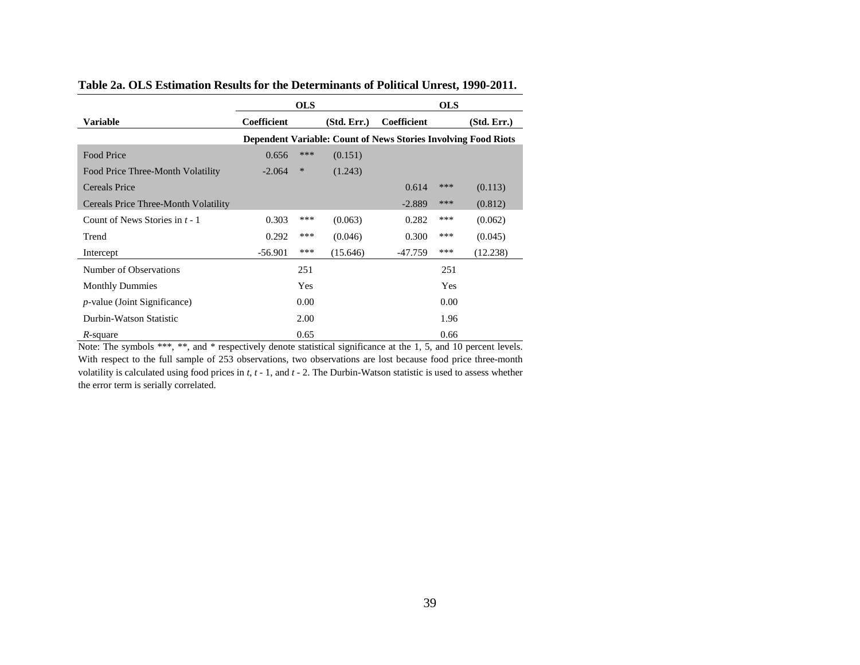|                                                                                                                   |             | <b>OLS</b> |             |                                                                       | <b>OLS</b> |             |
|-------------------------------------------------------------------------------------------------------------------|-------------|------------|-------------|-----------------------------------------------------------------------|------------|-------------|
| Variable                                                                                                          | Coefficient |            | (Std. Err.) | Coefficient                                                           |            | (Std. Err.) |
|                                                                                                                   |             |            |             | <b>Dependent Variable: Count of News Stories Involving Food Riots</b> |            |             |
| <b>Food Price</b>                                                                                                 | 0.656       | ***        | (0.151)     |                                                                       |            |             |
| Food Price Three-Month Volatility                                                                                 | $-2.064$    | $\ast$     | (1.243)     |                                                                       |            |             |
| <b>Cereals Price</b>                                                                                              |             |            |             | 0.614                                                                 | ***        | (0.113)     |
| Cereals Price Three-Month Volatility                                                                              |             |            |             | $-2.889$                                                              | ***        | (0.812)     |
| Count of News Stories in $t - 1$                                                                                  | 0.303       | ***        | (0.063)     | 0.282                                                                 | ***        | (0.062)     |
| Trend                                                                                                             | 0.292       | ***        | (0.046)     | 0.300                                                                 | ***        | (0.045)     |
| Intercept                                                                                                         | $-56.901$   | ***        | (15.646)    | -47.759                                                               | ***        | (12.238)    |
| Number of Observations                                                                                            |             | 251        |             |                                                                       | 251        |             |
| <b>Monthly Dummies</b>                                                                                            |             | Yes        |             |                                                                       | Yes        |             |
| <i>p</i> -value (Joint Significance)                                                                              |             | 0.00       |             |                                                                       | 0.00       |             |
| Durbin-Watson Statistic                                                                                           |             | 2.00       |             |                                                                       | 1.96       |             |
| R-square                                                                                                          |             | 0.65       |             |                                                                       | 0.66       |             |
| Note: The symbols ***, **, and * respectively denote statistical significance at the 1, 5, and 10 percent levels. |             |            |             |                                                                       |            |             |

**Table 2a. OLS Estimation Results for the Determinants of Political Unrest, 1990-2011.** 

With respect to the full sample of 253 observations, two observations are lost because food price three-month volatility is calculated using food prices in *<sup>t</sup>*, *<sup>t</sup>* - 1, and *<sup>t</sup>* - 2. The Durbin-Watson statistic is used to assess whether the error term is serially correlated.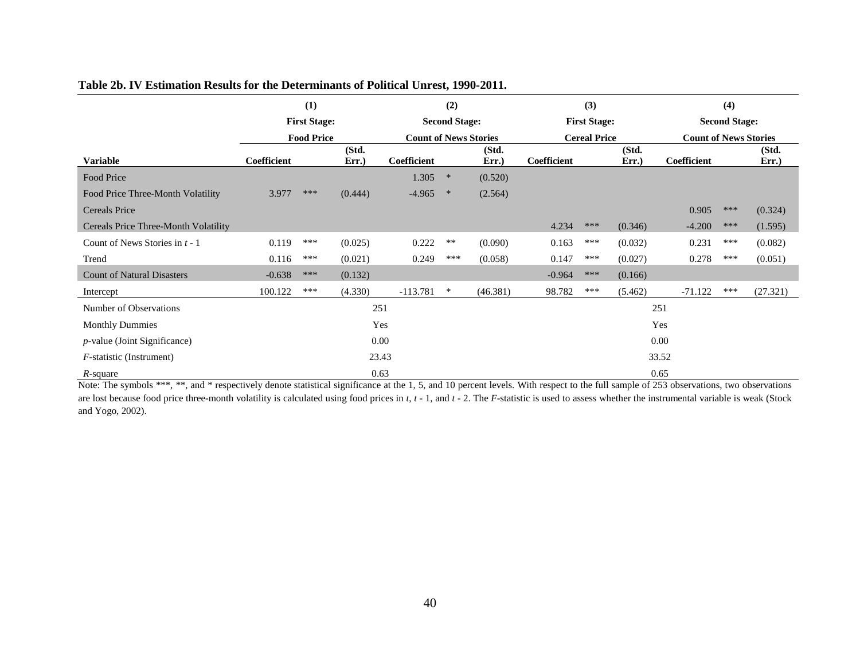|                                      |             | (1)                 |               |                              | (2)                  |                |                     | (3)                 |               |                              | (4)                  |                |  |
|--------------------------------------|-------------|---------------------|---------------|------------------------------|----------------------|----------------|---------------------|---------------------|---------------|------------------------------|----------------------|----------------|--|
|                                      |             | <b>First Stage:</b> |               |                              | <b>Second Stage:</b> |                |                     | <b>First Stage:</b> |               |                              | <b>Second Stage:</b> |                |  |
|                                      |             | <b>Food Price</b>   |               | <b>Count of News Stories</b> |                      |                | <b>Cereal Price</b> |                     |               | <b>Count of News Stories</b> |                      |                |  |
| <b>Variable</b>                      | Coefficient |                     | (Std.<br>Err. | Coefficient                  |                      | (Std.<br>Err.) | Coefficient         |                     | (Std.<br>Err. | Coefficient                  |                      | (Std.<br>Err.) |  |
| Food Price                           |             |                     |               | 1.305                        | $\ast$               | (0.520)        |                     |                     |               |                              |                      |                |  |
| Food Price Three-Month Volatility    | 3.977       | ***                 | (0.444)       | $-4.965$                     | $\ast$               | (2.564)        |                     |                     |               |                              |                      |                |  |
| Cereals Price                        |             |                     |               |                              |                      |                |                     |                     |               | 0.905                        | ***                  | (0.324)        |  |
| Cereals Price Three-Month Volatility |             |                     |               |                              |                      |                | 4.234               | ***                 | (0.346)       | $-4.200$                     | ***                  | (1.595)        |  |
| Count of News Stories in $t - 1$     | 0.119       | ***                 | (0.025)       | 0.222                        | $**$                 | (0.090)        | 0.163               | ***                 | (0.032)       | 0.231                        | ***                  | (0.082)        |  |
| Trend                                | 0.116       | ***                 | (0.021)       | 0.249                        | ***                  | (0.058)        | 0.147               | ***                 | (0.027)       | 0.278                        | ***                  | (0.051)        |  |
| <b>Count of Natural Disasters</b>    | $-0.638$    | ***                 | (0.132)       |                              |                      |                | $-0.964$            | ***                 | (0.166)       |                              |                      |                |  |
| Intercept                            | 100.122     | ***                 | (4.330)       | $-113.781$                   | $\ast$               | (46.381)       | 98.782              | ***                 | (5.462)       | $-71.122$                    | ***                  | (27.321)       |  |
| Number of Observations               |             |                     | 251           |                              |                      |                |                     |                     |               | 251                          |                      |                |  |
| <b>Monthly Dummies</b>               |             |                     |               | Yes                          |                      |                |                     |                     |               | Yes                          |                      |                |  |
| $p$ -value (Joint Significance)      |             |                     | 0.00          |                              |                      |                |                     |                     |               | 0.00                         |                      |                |  |
| <i>F</i> -statistic (Instrument)     |             |                     |               | 23.43                        |                      |                |                     |                     |               | 33.52                        |                      |                |  |
| $R_{\text{c}011}$                    |             |                     | 0.63          |                              |                      |                |                     |                     |               | 0.65                         |                      |                |  |

#### **Table 2b. IV Estimation Results for the Determinants of Political Unrest, 1990-2011.**

*R*-square 0.63 0.65 Note: The symbols \*\*\*, \*\*, and \* respectively denote statistical significance at the 1, 5, and 10 percent levels. With respect to the full sample of 253 observations, two observations are lost because food price three-month volatility is calculated using food prices in *t*, *t* - 1, and *t* - 2. The *F*-statistic is used to assess whether the instrumental variable is weak (Stock and Yogo, 2002).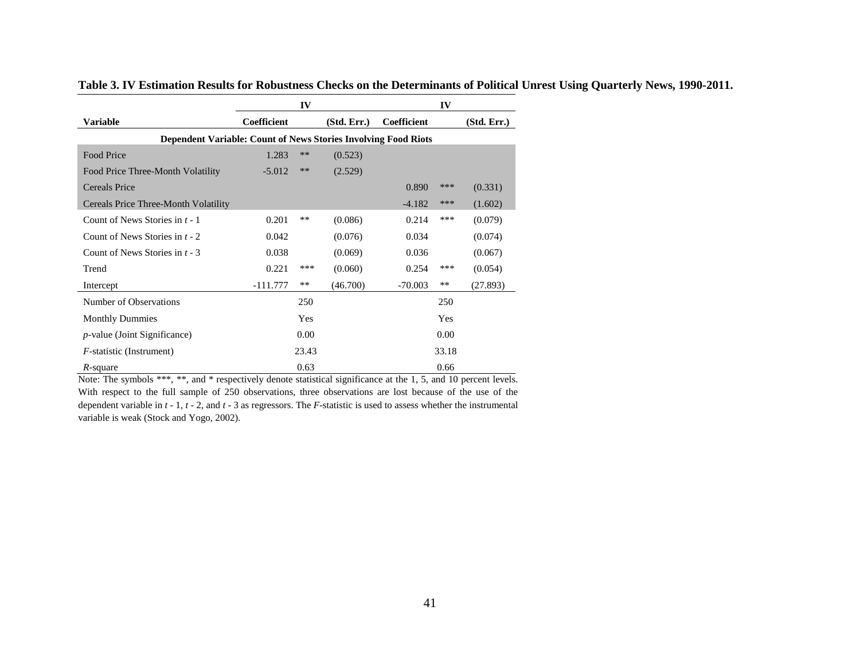|                                                                       |                    | IV    |             |             | IV    |             |
|-----------------------------------------------------------------------|--------------------|-------|-------------|-------------|-------|-------------|
| <b>Variable</b>                                                       | <b>Coefficient</b> |       | (Std. Err.) | Coefficient |       | (Std. Err.) |
| <b>Dependent Variable: Count of News Stories Involving Food Riots</b> |                    |       |             |             |       |             |
| Food Price                                                            | 1.283              | $**$  | (0.523)     |             |       |             |
| Food Price Three-Month Volatility                                     | $-5.012$           | **    | (2.529)     |             |       |             |
| Cereals Price                                                         |                    |       |             | 0.890       | ***   | (0.331)     |
| Cereals Price Three-Month Volatility                                  |                    |       |             | $-4.182$    | ***   | (1.602)     |
| Count of News Stories in $t - 1$                                      | 0.201              | **    | (0.086)     | 0.214       | ***   | (0.079)     |
| Count of News Stories in $t - 2$                                      | 0.042              |       | (0.076)     | 0.034       |       | (0.074)     |
| Count of News Stories in $t - 3$                                      | 0.038              |       | (0.069)     | 0.036       |       | (0.067)     |
| Trend                                                                 | 0.221              | ***   | (0.060)     | 0.254       | ***   | (0.054)     |
| Intercept                                                             | -111.777           | **    | (46.700)    | $-70.003$   | $***$ | (27.893)    |
| Number of Observations                                                |                    | 250   |             |             | 250   |             |
| <b>Monthly Dummies</b>                                                |                    | Yes   |             |             | Yes   |             |
| $p$ -value (Joint Significance)                                       |                    | 0.00  |             |             | 0.00  |             |
| <i>F</i> -statistic (Instrument)                                      |                    | 23.43 |             |             | 33.18 |             |
| R-square                                                              |                    | 0.63  |             |             | 0.66  |             |

**Table 3. IV Estimation Results for Robustness Checks on the Determinants of Political Unrest Using Quarterly News, 1990-2011.** 

Note: The symbols \*\*\*, \*\*, and \* respectively denote statistical significance at the 1, 5, and 10 percent levels. With respect to the full sample of 250 observations, three observations are lost because of the use of the dependent variable in *<sup>t</sup>* - 1, *<sup>t</sup>* - 2, and *<sup>t</sup>* - 3 as regressors. The *F*-statistic is used to assess whether the instrumental variable is weak (Stock and Yogo, 2002).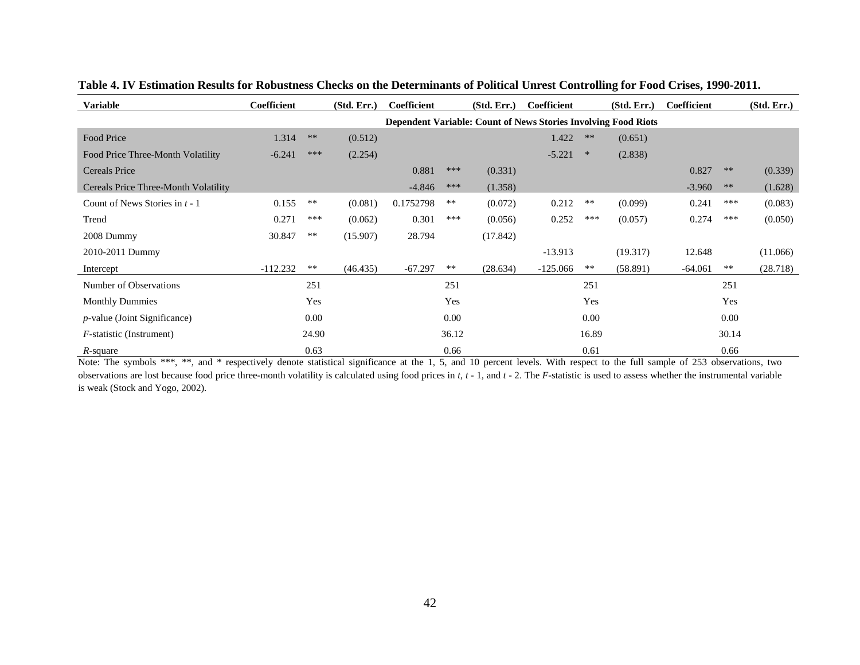| <b>Variable</b>                      | Coefficient |            | (Std, Err.) | Coefficient |       | (Std. Err.)                                                           | Coefficient |            | (Std. Err.) | Coefficient |            | (Std. Err.) |
|--------------------------------------|-------------|------------|-------------|-------------|-------|-----------------------------------------------------------------------|-------------|------------|-------------|-------------|------------|-------------|
|                                      |             |            |             |             |       | <b>Dependent Variable: Count of News Stories Involving Food Riots</b> |             |            |             |             |            |             |
| Food Price                           | 1.314       | $***$      | (0.512)     |             |       |                                                                       | 1.422       | $**$       | (0.651)     |             |            |             |
| Food Price Three-Month Volatility    | $-6.241$    | ***        | (2.254)     |             |       |                                                                       | $-5.221$    | $\ast$     | (2.838)     |             |            |             |
| Cereals Price                        |             |            |             | 0.881       | ***   | (0.331)                                                               |             |            |             | 0.827       | $**$       | (0.339)     |
| Cereals Price Three-Month Volatility |             |            |             | $-4.846$    | ***   | (1.358)                                                               |             |            |             | $-3.960$    | $\ast\ast$ | (1.628)     |
| Count of News Stories in $t - 1$     | 0.155       | $\ast\ast$ | (0.081)     | 0.1752798   | $***$ | (0.072)                                                               | 0.212       | $\ast\ast$ | (0.099)     | 0.241       | ***        | (0.083)     |
| Trend                                | 0.271       | ***        | (0.062)     | 0.301       | ***   | (0.056)                                                               | 0.252       | ***        | (0.057)     | 0.274       | ***        | (0.050)     |
| 2008 Dummy                           | 30.847      | $***$      | (15.907)    | 28.794      |       | (17.842)                                                              |             |            |             |             |            |             |
| 2010-2011 Dummy                      |             |            |             |             |       |                                                                       | $-13.913$   |            | (19.317)    | 12.648      |            | (11.066)    |
| Intercept                            | $-112.232$  | $**$       | (46.435)    | $-67.297$   | $***$ | (28.634)                                                              | $-125.066$  | $***$      | (58.891)    | $-64.061$   | $\ast\ast$ | (28.718)    |
| Number of Observations               |             | 251        |             |             | 251   |                                                                       |             | 251        |             |             | 251        |             |
| <b>Monthly Dummies</b>               |             | Yes        |             |             | Yes   |                                                                       |             | Yes        |             |             | Yes        |             |
| <i>p</i> -value (Joint Significance) |             | 0.00       |             |             | 0.00  |                                                                       |             | 0.00       |             |             | 0.00       |             |
| <i>F</i> -statistic (Instrument)     |             | 24.90      |             |             | 36.12 |                                                                       |             | 16.89      |             |             | 30.14      |             |
| $R$ -square                          |             | 0.63       |             |             | 0.66  |                                                                       |             | 0.61       |             |             | 0.66       |             |

**Table 4. IV Estimation Results for Robustness Checks on the Determinants of Political Unrest Controlling for Food Crises, 1990-2011.** 

Note: The symbols \*\*\*, \*\*, and \* respectively denote statistical significance at the 1, 5, and 10 percent levels. With respect to the full sample of 253 observations, two observations are lost because food price three-month volatility is calculated using food prices in *<sup>t</sup>*, *<sup>t</sup>* - 1, and *<sup>t</sup>* - 2. The *F*-statistic is used to assess whether the instrumental variable is weak (Stock and Yogo, 2002).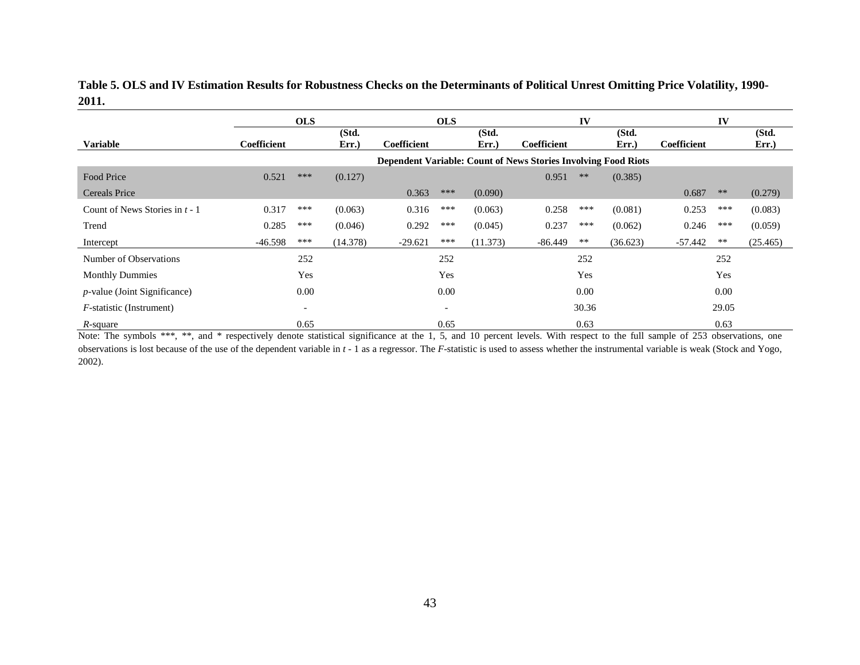|       |  | Table 5. OLS and IV Estimation Results for Robustness Checks on the Determinants of Political Unrest Omitting Price Volatility, 1990- |  |
|-------|--|---------------------------------------------------------------------------------------------------------------------------------------|--|
| 2011. |  |                                                                                                                                       |  |

|                                      |             | <b>OLS</b>               |                |             | <b>OLS</b>               |                |                                                                | IV    |                |             | IV    |               |
|--------------------------------------|-------------|--------------------------|----------------|-------------|--------------------------|----------------|----------------------------------------------------------------|-------|----------------|-------------|-------|---------------|
| <b>Variable</b>                      | Coefficient |                          | (Std.<br>Err.) | Coefficient |                          | (Std.<br>Err.) | Coefficient                                                    |       | (Std.<br>Err.) | Coefficient |       | (Std.<br>Err. |
|                                      |             |                          |                |             |                          |                |                                                                |       |                |             |       |               |
|                                      |             |                          |                |             |                          |                | Dependent Variable: Count of News Stories Involving Food Riots |       |                |             |       |               |
| Food Price                           | 0.521       | ***                      | (0.127)        |             |                          |                | 0.951                                                          | $***$ | (0.385)        |             |       |               |
| <b>Cereals Price</b>                 |             |                          |                | 0.363       | ***                      | (0.090)        |                                                                |       |                | 0.687       | $**$  | (0.279)       |
| Count of News Stories in $t - 1$     | 0.317       | ***                      | (0.063)        | 0.316       | ***                      | (0.063)        | 0.258                                                          | ***   | (0.081)        | 0.253       | ***   | (0.083)       |
| Trend                                | 0.285       | ***                      | (0.046)        | 0.292       | ***                      | (0.045)        | 0.237                                                          | ***   | (0.062)        | 0.246       | ***   | (0.059)       |
| Intercept                            | $-46.598$   | ***                      | (14.378)       | $-29.621$   | ***                      | (11.373)       | $-86.449$                                                      | **    | (36.623)       | $-57.442$   | $***$ | (25.465)      |
| Number of Observations               |             | 252                      |                |             | 252                      |                |                                                                | 252   |                |             | 252   |               |
| <b>Monthly Dummies</b>               |             | Yes                      |                |             | Yes                      |                |                                                                | Yes   |                |             | Yes   |               |
| <i>p</i> -value (Joint Significance) |             | 0.00                     |                |             | 0.00                     |                |                                                                | 0.00  |                |             | 0.00  |               |
| <i>F</i> -statistic (Instrument)     |             | $\overline{\phantom{a}}$ |                |             | $\overline{\phantom{a}}$ |                |                                                                | 30.36 |                |             | 29.05 |               |
| $R$ -square                          |             | 0.65                     |                |             | 0.65                     |                |                                                                | 0.63  |                |             | 0.63  |               |

*R*-square 0.65 0.63 0.63 0.63<br>Note: The symbols \*\*\*, \*\*, and \* respectively denote statistical significance at the 1, 5, and 10 percent levels. With respect to the full sample of 253 observations, one observations is lost because of the use of the dependent variable in *<sup>t</sup>* - 1 as a regressor. The *F*-statistic is used to assess whether the instrumental variable is weak (Stock and Yogo, 2002).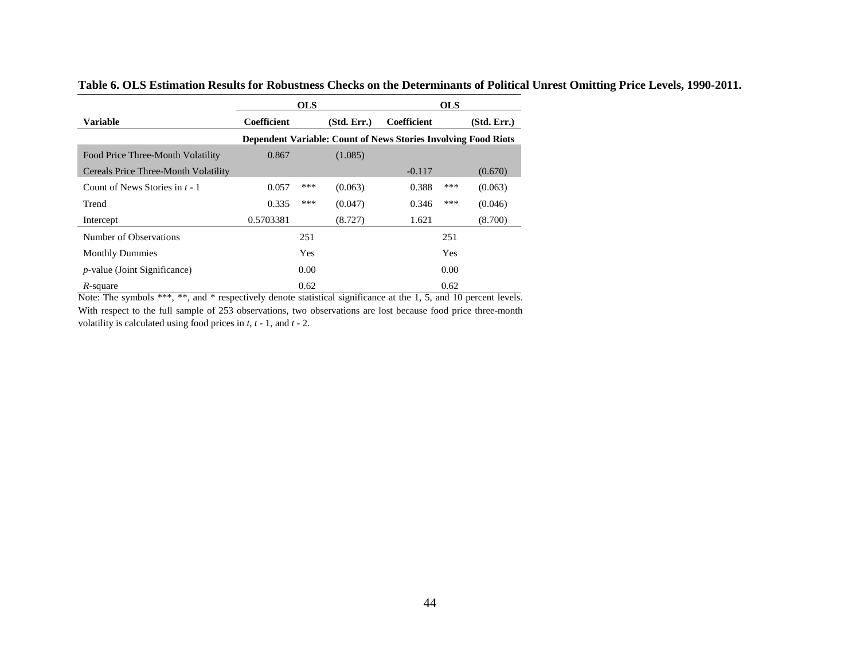|                                      |                    | <b>OLS</b> |             |                                                                       | <b>OLS</b> |             |
|--------------------------------------|--------------------|------------|-------------|-----------------------------------------------------------------------|------------|-------------|
| <b>Variable</b>                      | <b>Coefficient</b> |            | (Std. Err.) | Coefficient                                                           |            | (Std. Err.) |
|                                      |                    |            |             | <b>Dependent Variable: Count of News Stories Involving Food Riots</b> |            |             |
| Food Price Three-Month Volatility    | 0.867              |            | (1.085)     |                                                                       |            |             |
| Cereals Price Three-Month Volatility |                    |            |             | $-0.117$                                                              |            | (0.670)     |
| Count of News Stories in $t - 1$     | 0.057              | ***        | (0.063)     | 0.388                                                                 | ***        | (0.063)     |
| Trend                                | 0.335              | ***        | (0.047)     | 0.346                                                                 | ***        | (0.046)     |
| Intercept                            | 0.5703381          |            | (8.727)     | 1.621                                                                 |            | (8.700)     |
| Number of Observations               |                    | 251        |             |                                                                       | 251        |             |
| <b>Monthly Dummies</b>               |                    | Yes        |             |                                                                       | Yes        |             |
| <i>p</i> -value (Joint Significance) |                    | 0.00       |             |                                                                       | 0.00       |             |
| R-square                             |                    | 0.62       |             |                                                                       | 0.62       |             |

**Table 6. OLS Estimation Results for Robustness Checks on the Determinants of Political Unrest Omitting Price Levels, 1990-2011.** 

*R*-square 0.62 0.62 0.62<br>Note: The symbols \*\*\*, \*\*, and \* respectively denote statistical significance at the 1, 5, and 10 percent levels. With respect to the full sample of 253 observations, two observations are lost because food price three-month volatility is calculated using food prices in *<sup>t</sup>*, *<sup>t</sup>* - 1, and *<sup>t</sup>* - 2.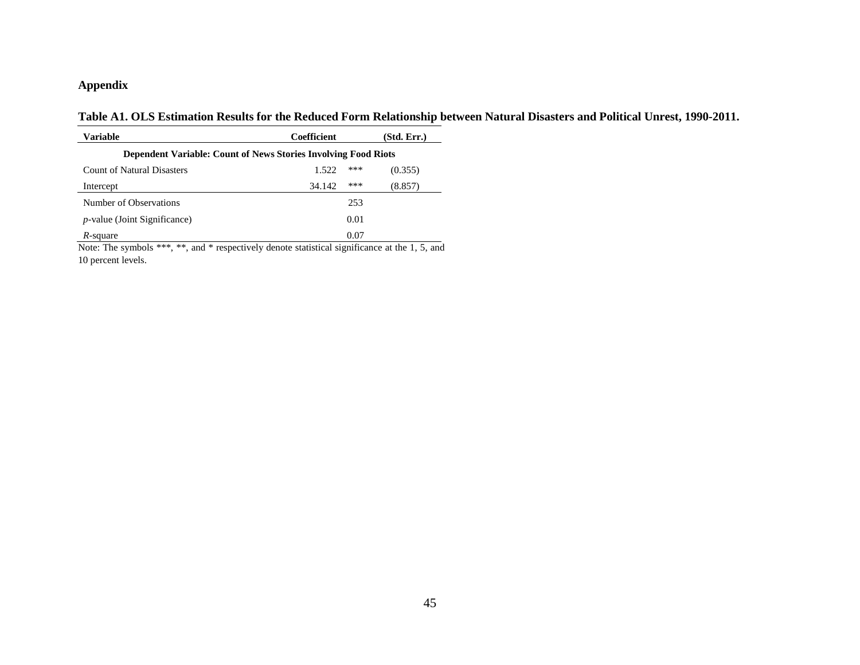#### **Appendix**

**Table A1. OLS Estimation Results for the Reduced Form Relationship between Natural Disasters and Political Unrest, 1990-2011.** 

| <b>Variable</b>                                                       | Coefficient   | (Std. Err.) |  |  |  |  |  |  |  |  |  |
|-----------------------------------------------------------------------|---------------|-------------|--|--|--|--|--|--|--|--|--|
| <b>Dependent Variable: Count of News Stories Involving Food Riots</b> |               |             |  |  |  |  |  |  |  |  |  |
| <b>Count of Natural Disasters</b>                                     | ***<br>1.522  | (0.355)     |  |  |  |  |  |  |  |  |  |
| Intercept                                                             | ***<br>34.142 | (8.857)     |  |  |  |  |  |  |  |  |  |
| Number of Observations                                                | 253           |             |  |  |  |  |  |  |  |  |  |
| <i>p</i> -value (Joint Significance)                                  | 0.01          |             |  |  |  |  |  |  |  |  |  |
| <i>R</i> -square                                                      | 0.07          |             |  |  |  |  |  |  |  |  |  |

*R*-square 0.07<br>Note: The symbols \*\*\*, \*\*, and \* respectively denote statistical significance at the 1, 5, and 10 percent levels.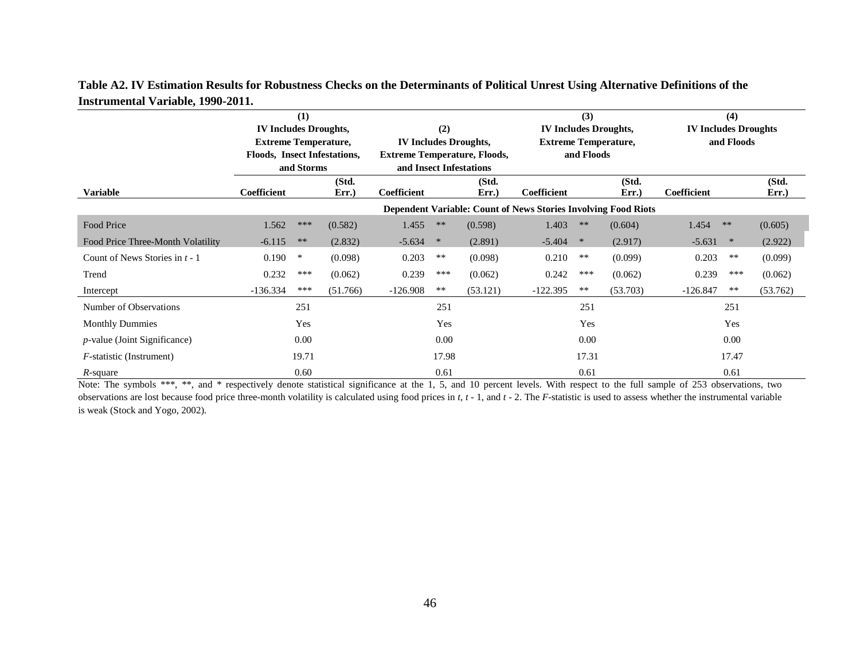|                                      |                              | (1)        |                |                         |                              |                                     |                                                                | (3)                         |                              | (4)                         |          |  |
|--------------------------------------|------------------------------|------------|----------------|-------------------------|------------------------------|-------------------------------------|----------------------------------------------------------------|-----------------------------|------------------------------|-----------------------------|----------|--|
|                                      | <b>IV Includes Droughts,</b> |            |                |                         | (2)                          |                                     |                                                                |                             | <b>IV Includes Droughts,</b> | <b>IV Includes Droughts</b> |          |  |
|                                      | <b>Extreme Temperature,</b>  |            |                |                         | <b>IV Includes Droughts,</b> |                                     |                                                                | <b>Extreme Temperature,</b> | and Floods                   |                             |          |  |
|                                      | Floods, Insect Infestations, |            |                |                         |                              | <b>Extreme Temperature, Floods,</b> |                                                                | and Floods                  |                              |                             |          |  |
|                                      |                              | and Storms |                | and Insect Infestations |                              |                                     |                                                                |                             |                              |                             |          |  |
| <b>Variable</b>                      | <b>Coefficient</b>           |            | (Std.<br>Err.) | Coefficient             |                              | (Std.<br>Err.                       | Coefficient                                                    |                             | (Std.                        | Coefficient                 | (Std.    |  |
|                                      |                              |            |                |                         |                              |                                     |                                                                |                             | Err.)                        |                             | Err.)    |  |
|                                      |                              |            |                |                         |                              |                                     | Dependent Variable: Count of News Stories Involving Food Riots |                             |                              |                             |          |  |
| <b>Food Price</b>                    | 1.562                        | ***        | (0.582)        | 1.455                   | $**$                         | (0.598)                             | 1.403                                                          | $**$                        | (0.604)                      | 1.454<br>$***$              | (0.605)  |  |
| Food Price Three-Month Volatility    | $-6.115$                     | **         | (2.832)        | $-5.634$                | $\ast$                       | (2.891)                             | $-5.404$                                                       | $\ast$                      | (2.917)                      | $-5.631$<br>∗               | (2.922)  |  |
| Count of News Stories in $t - 1$     | 0.190                        | ∗          | (0.098)        | 0.203                   | $***$                        | (0.098)                             | 0.210                                                          | **                          | (0.099)                      | 0.203<br>$***$              | (0.099)  |  |
| Trend                                | 0.232                        | ***        | (0.062)        | 0.239                   | ***                          | (0.062)                             | 0.242                                                          | ***                         | (0.062)                      | 0.239<br>***                | (0.062)  |  |
| Intercept                            | $-136.334$                   | ***        | (51.766)       | $-126.908$              | $***$                        | (53.121)                            | $-122.395$                                                     | $***$                       | (53.703)                     | $-126.847$<br>$***$         | (53.762) |  |
| Number of Observations               |                              | 251        |                |                         | 251                          |                                     |                                                                | 251                         |                              | 251                         |          |  |
| <b>Monthly Dummies</b>               |                              | Yes        |                |                         | Yes                          |                                     |                                                                | Yes                         |                              | Yes                         |          |  |
| <i>p</i> -value (Joint Significance) |                              | 0.00       |                |                         | 0.00                         |                                     | 0.00                                                           |                             |                              | 0.00                        |          |  |
| <i>F</i> -statistic (Instrument)     |                              | 19.71      |                |                         | 17.98                        |                                     |                                                                | 17.31                       |                              | 17.47                       |          |  |
| $R$ -square                          |                              | 0.60       |                |                         | 0.61                         |                                     |                                                                | 0.61                        |                              | 0.61                        |          |  |

**Table A2. IV Estimation Results for Robustness Checks on the Determinants of Political Unrest Using Alternative Definitions of the Instrumental Variable, 1990-2011.** 

*R*-square 0.60 0.61 0.61 0.61 Note: The symbols \*\*\*, \*\*, and \* respectively denote statistical significance at the 1, 5, and 10 percent levels. With respect to the full sample of 253 observations, two observations are lost because food price three-month volatility is calculated using food prices in *<sup>t</sup>*, *<sup>t</sup>* - 1, and *<sup>t</sup>* - 2. The *F*-statistic is used to assess whether the instrumental variable is weak (Stock and Yogo, 2002).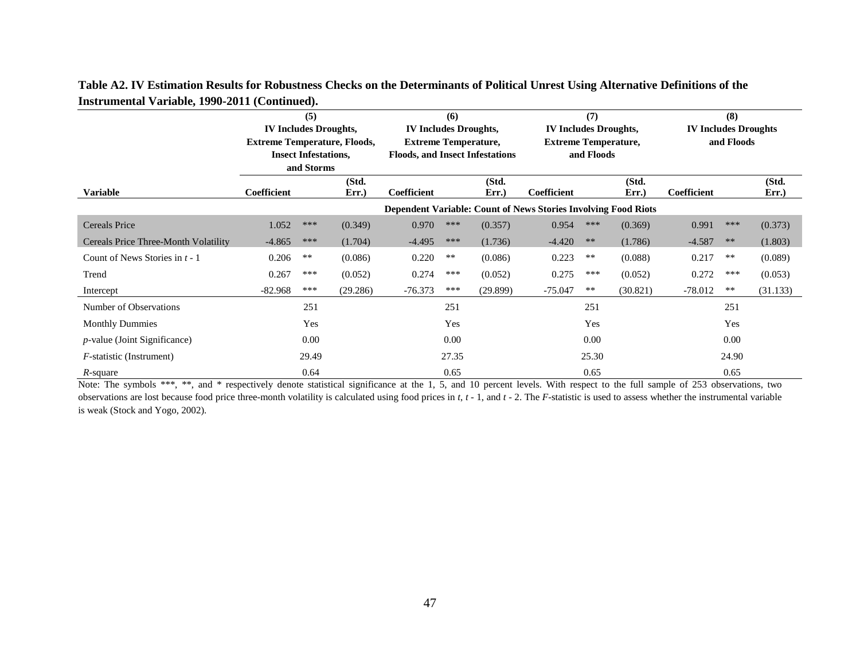|                                      |                                     | (5)                         |          |                                        | (6)   |          |                                                                | (7)        |          |                             | (8)        |          |
|--------------------------------------|-------------------------------------|-----------------------------|----------|----------------------------------------|-------|----------|----------------------------------------------------------------|------------|----------|-----------------------------|------------|----------|
|                                      | <b>IV Includes Droughts,</b>        |                             |          | <b>IV Includes Droughts,</b>           |       |          | <b>IV Includes Droughts,</b>                                   |            |          | <b>IV Includes Droughts</b> |            |          |
|                                      | <b>Extreme Temperature, Floods,</b> |                             |          | <b>Extreme Temperature,</b>            |       |          | <b>Extreme Temperature,</b>                                    |            |          |                             | and Floods |          |
|                                      |                                     | <b>Insect Infestations,</b> |          | <b>Floods, and Insect Infestations</b> |       |          |                                                                | and Floods |          |                             |            |          |
|                                      |                                     | and Storms                  |          |                                        |       |          |                                                                |            |          |                             |            |          |
|                                      |                                     |                             | (Std.    |                                        |       | (Std.    |                                                                |            | (Std.    |                             |            | (Std.    |
| <b>Variable</b>                      | Coefficient                         |                             | Err.     | Coefficient                            |       | Err.     | Coefficient                                                    |            | Err.     | Coefficient                 |            | Err.     |
|                                      |                                     |                             |          |                                        |       |          | Dependent Variable: Count of News Stories Involving Food Riots |            |          |                             |            |          |
| <b>Cereals Price</b>                 | 1.052                               | ***                         | (0.349)  | 0.970                                  | ***   | (0.357)  | 0.954                                                          | ***        | (0.369)  | 0.991                       | ***        | (0.373)  |
| Cereals Price Three-Month Volatility | $-4.865$                            | ***                         | (1.704)  | $-4.495$                               | ***   | (1.736)  | $-4.420$                                                       | **         | (1.786)  | $-4.587$                    | $\ast\ast$ | (1.803)  |
| Count of News Stories in $t - 1$     | 0.206                               | $***$                       | (0.086)  | 0.220                                  | $***$ | (0.086)  | 0.223                                                          | $***$      | (0.088)  | 0.217                       | $***$      | (0.089)  |
| Trend                                | 0.267                               | ***                         | (0.052)  | 0.274                                  | ***   | (0.052)  | 0.275                                                          | ***        | (0.052)  | 0.272                       | ***        | (0.053)  |
| Intercept                            | $-82.968$                           | ***                         | (29.286) | $-76.373$                              | ***   | (29.899) | $-75.047$                                                      | **         | (30.821) | $-78.012$                   | $***$      | (31.133) |
| Number of Observations               |                                     | 251                         |          |                                        | 251   |          |                                                                | 251        |          |                             | 251        |          |
| <b>Monthly Dummies</b>               |                                     | Yes                         |          |                                        | Yes   |          |                                                                | Yes        |          |                             | Yes        |          |
| $p$ -value (Joint Significance)      |                                     | 0.00                        |          |                                        | 0.00  |          |                                                                | 0.00       |          |                             | 0.00       |          |
| <i>F</i> -statistic (Instrument)     |                                     | 29.49                       |          |                                        | 27.35 |          | 25.30                                                          |            |          | 24.90                       |            |          |
| $R$ -square                          |                                     | 0.64                        |          |                                        | 0.65  |          |                                                                | 0.65       |          |                             | 0.65       |          |

**Table A2. IV Estimation Results for Robustness Checks on the Determinants of Political Unrest Using Alternative Definitions of the Instrumental Variable, 1990-2011 (Continued).** 

*R*-square 0.65 0.65 0.65<br>Note: The symbols \*\*\*, \*\*, and \* respectively denote statistical significance at the 1, 5, and 10 percent levels. With respect to the full sample of 253 observations, two observations are lost because food price three-month volatility is calculated using food prices in *<sup>t</sup>*, *<sup>t</sup>* - 1, and *<sup>t</sup>* - 2. The *F*-statistic is used to assess whether the instrumental variable is weak (Stock and Yogo, 2002).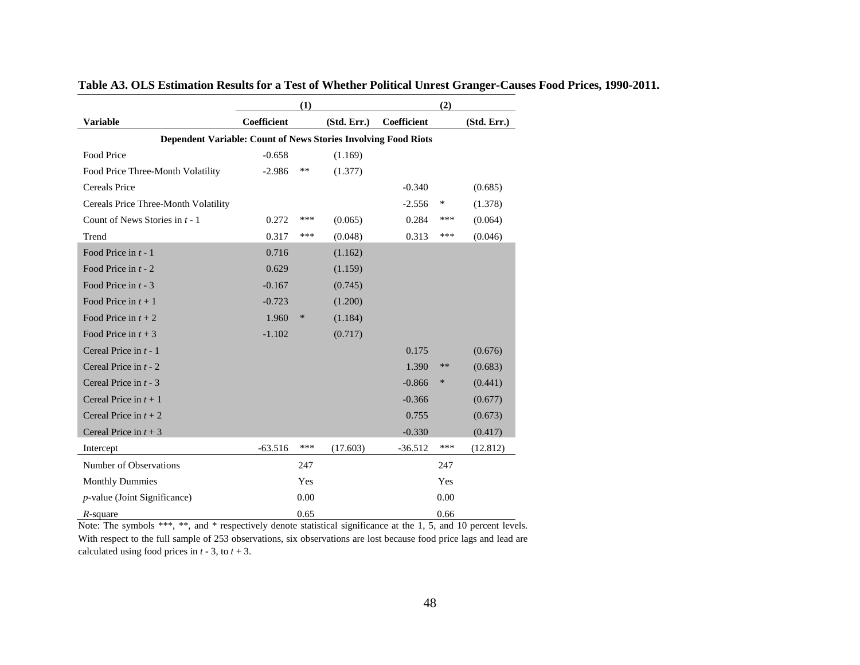|                                                                |             | (1)    |             |             | (2)    |             |
|----------------------------------------------------------------|-------------|--------|-------------|-------------|--------|-------------|
| <b>Variable</b>                                                | Coefficient |        | (Std. Err.) | Coefficient |        | (Std. Err.) |
| Dependent Variable: Count of News Stories Involving Food Riots |             |        |             |             |        |             |
| Food Price                                                     | $-0.658$    |        | (1.169)     |             |        |             |
| Food Price Three-Month Volatility                              | $-2.986$    | **     | (1.377)     |             |        |             |
| Cereals Price                                                  |             |        |             | $-0.340$    |        | (0.685)     |
| Cereals Price Three-Month Volatility                           |             |        |             | $-2.556$    | $\ast$ | (1.378)     |
| Count of News Stories in $t - 1$                               | 0.272       | ***    | (0.065)     | 0.284       | ***    | (0.064)     |
| Trend                                                          | 0.317       | ***    | (0.048)     | 0.313       | ***    | (0.046)     |
| Food Price in $t - 1$                                          | 0.716       |        | (1.162)     |             |        |             |
| Food Price in $t - 2$                                          | 0.629       |        | (1.159)     |             |        |             |
| Food Price in $t - 3$                                          | $-0.167$    |        | (0.745)     |             |        |             |
| Food Price in $t + 1$                                          | $-0.723$    |        | (1.200)     |             |        |             |
| Food Price in $t + 2$                                          | 1.960       | $\ast$ | (1.184)     |             |        |             |
| Food Price in $t + 3$                                          | $-1.102$    |        | (0.717)     |             |        |             |
| Cereal Price in $t - 1$                                        |             |        |             | 0.175       |        | (0.676)     |
| Cereal Price in $t - 2$                                        |             |        |             | 1.390       | $***$  | (0.683)     |
| Cereal Price in $t - 3$                                        |             |        |             | $-0.866$    | $\ast$ | (0.441)     |
| Cereal Price in $t + 1$                                        |             |        |             | $-0.366$    |        | (0.677)     |
| Cereal Price in $t + 2$                                        |             |        |             | 0.755       |        | (0.673)     |
| Cereal Price in $t + 3$                                        |             |        |             | $-0.330$    |        | (0.417)     |
| Intercept                                                      | $-63.516$   | ***    | (17.603)    | $-36.512$   | ***    | (12.812)    |
| Number of Observations                                         |             | 247    |             |             | 247    |             |
| <b>Monthly Dummies</b>                                         |             | Yes    |             |             | Yes    |             |
| $p$ -value (Joint Significance)                                |             | 0.00   |             |             | 0.00   |             |
| $R$ -square                                                    |             | 0.65   |             |             | 0.66   |             |

**Table A3. OLS Estimation Results for a Test of Whether Political Unrest Granger-Causes Food Prices, 1990-2011.** 

Note: The symbols \*\*\*, \*\*, and \* respectively denote statistical significance at the 1, 5, and 10 percent levels. With respect to the full sample of 253 observations, six observations are lost because food price lags and lead are calculated using food prices in  $t - 3$ , to  $t + 3$ .